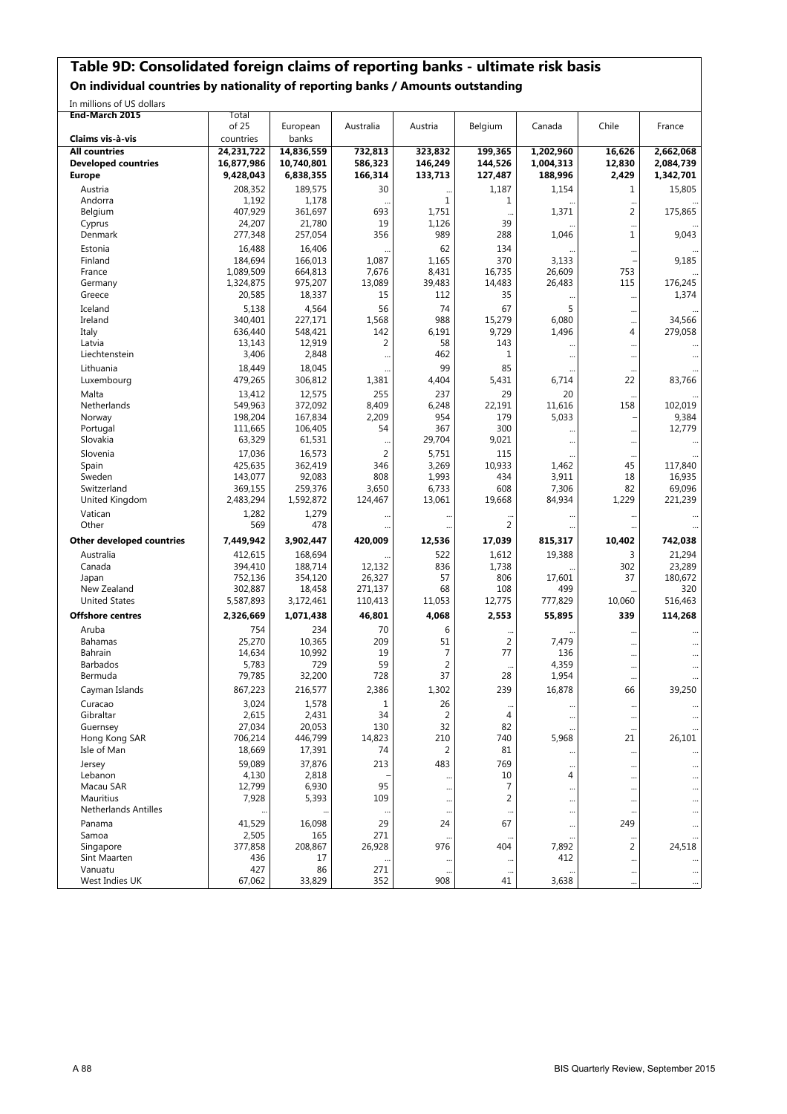#### **Table 9D: Consolidated foreign claims of reporting banks - ultimate risk basis**

**On individual countries by nationality of reporting banks / Amounts outstanding**

In millions of US dollars

| End-March 2015                   | Total                |                      |                  |                 |                 |                 |                      |                   |
|----------------------------------|----------------------|----------------------|------------------|-----------------|-----------------|-----------------|----------------------|-------------------|
|                                  | of 25                | European             | Australia        | Austria         | Belgium         | Canada          | Chile                | France            |
| Claims vis à-vis                 | countries            | banks                |                  |                 |                 |                 |                      |                   |
| <b>All countries</b>             | 24,231,722           | 14,836,559           | 732,813          | 323,832         | 199,365         | 1,202,960       | 16,626               | 2,662,068         |
| <b>Developed countries</b>       | 16,877,986           | 10,740,801           | 586,323          | 146,249         | 144,526         | 1,004,313       | 12,830               | 2,084,739         |
| <b>Europe</b>                    | 9,428,043            | 6,838,355            | 166,314          | 133,713         | 127,487         | 188,996         | 2,429                | 1,342,701         |
| Austria                          | 208,352              | 189,575              | 30               |                 | 1,187           | 1,154           | 1                    | 15,805            |
| Andorra                          | 1,192                | 1,178                |                  | 1               | 1               |                 | $\ddotsc$            |                   |
| Belgium                          | 407,929              | 361,697              | 693              | 1,751           |                 | 1,371           | 2                    | 175,865           |
| Cyprus                           | 24,207               | 21,780               | 19               | 1,126           | 39              |                 |                      |                   |
| Denmark                          | 277,348              | 257,054              | 356              | 989             | 288             | 1,046           | 1                    | 9,043             |
| Estonia                          | 16,488               | 16,406               |                  | 62              | 134             |                 |                      |                   |
| Finland                          | 184,694              | 166,013              | 1,087            | 1,165           | 370             | 3,133           |                      | 9,185             |
| France                           | 1,089,509            | 664,813              | 7,676            | 8,431           | 16,735          | 26,609          | 753                  |                   |
| Germany                          | 1,324,875            | 975,207              | 13,089           | 39,483          | 14,483          | 26,483          | 115                  | 176,245           |
| Greece                           | 20,585               | 18,337               | 15               | 112             | 35              |                 | $\ddots$             | 1,374             |
| Iceland                          | 5,138                | 4,564                | 56               | 74              | 67              | 5               | $\ddotsc$            |                   |
| Ireland                          | 340,401              | 227,171              | 1,568            | 988             | 15,279          | 6,080           | $\ddotsc$            | 34,566            |
| Italy                            | 636,440              | 548,421              | 142              | 6,191           | 9,729           | 1,496           | 4                    | 279,058           |
| Latvia                           | 13,143               | 12,919               | 2                | 58              | 143             |                 | $\ddotsc$            |                   |
| Liechtenstein                    | 3,406                | 2,848                | $\ddotsc$        | 462             | 1               |                 | $\ddotsc$            |                   |
| Lithuania                        | 18,449               | 18,045               |                  | 99              | 85              |                 |                      |                   |
| Luxembourg                       | 479,265              | 306,812              | 1,381            | 4,404           | 5,431           | 6,714           | 22                   | 83,766            |
| Malta                            | 13,412               | 12,575               | 255              | 237             | 29              | 20              | $\ddotsc$            |                   |
| Netherlands                      | 549,963              | 372,092              | 8,409            | 6,248           | 22,191          | 11,616          | 158                  | 102.019           |
| Norway                           | 198,204              | 167,834              | 2,209            | 954             | 179             | 5,033           |                      | 9,384             |
| Portugal                         | 111,665              | 106,405              | 54               | 367             | 300             |                 | $\ddotsc$            | 12,779            |
| Slovakia                         | 63,329               | 61,531               |                  | 29,704          | 9,021           |                 |                      |                   |
| Slovenia                         | 17,036               | 16,573               | $\overline{2}$   | 5,751           | 115             |                 |                      |                   |
| Spain                            | 425,635              | 362,419              | 346              | 3,269           | 10,933          | 1,462           | 45                   | 117,840           |
| Sweden                           | 143,077              | 92,083               | 808              | 1,993           | 434             | 3,911           | 18                   | 16,935            |
| Switzerland                      | 369,155<br>2,483,294 | 259,376<br>1,592,872 | 3,650<br>124,467 | 6,733<br>13,061 | 608<br>19,668   | 7,306<br>84,934 | 82<br>1,229          | 69,096<br>221,239 |
| United Kingdom                   |                      |                      |                  |                 |                 |                 |                      |                   |
| Vatican                          | 1,282                | 1,279                |                  |                 | $\ddotsc$       |                 |                      |                   |
| Other                            | 569                  | 478                  |                  |                 | 2               |                 |                      |                   |
| <b>Other developed countries</b> | 7,449,942            | 3,902,447            | 420,009          | 12,536          | 17,039          | 815,317         | 10,402               | 742,038           |
| Australia                        | 412,615              | 168,694              |                  | 522             | 1,612           | 19,388          | 3                    | 21,294            |
| Canada                           | 394,410              | 188,714              | 12,132           | 836             | 1,738           |                 | 302                  | 23,289            |
| Japan                            | 752,136              | 354,120              | 26,327           | 57              | 806             | 17,601          | 37                   | 180,672           |
| New Zealand                      | 302,887              | 18,458               | 271,137          | 68              | 108             | 499             |                      | 320               |
| <b>United States</b>             | 5,587,893            | 3,172,461            | 110,413          | 11,053          | 12,775          | 777,829         | 10,060               | 516,463           |
| <b>Offshore centres</b>          | 2,326,669            | 1,071,438            | 46,801           | 4,068           | 2,553           | 55,895          | 339                  | 114,268           |
| Aruba                            | 754                  | 234                  | 70               | 6               |                 |                 |                      |                   |
| Bahamas                          | 25,270               | 10,365               | 209              | 51              | $\overline{2}$  | 7,479           |                      |                   |
| <b>Bahrain</b>                   | 14,634               | 10,992               | 19               | $\overline{7}$  | 77              | 136             |                      |                   |
| <b>Barbados</b>                  | 5,783                | 729                  | 59               | $\overline{2}$  |                 | 4,359           |                      |                   |
| Bermuda                          | 79,785               | 32,200               | 728              | 37              | 28              | 1,954           |                      |                   |
| Cayman Islands                   | 867,223              | 216,577              | 2,386            | 1,302           | 239             | 16,878          | 66                   | 39,250            |
| Curacao                          | 3,024                | 1,578                | 1                | 26              | $\cdots$        |                 | $\ddotsc$            |                   |
| Gibraltar                        | 2,615                | 2,431                | 34               | 2               | 4               |                 | $\ddotsc$            |                   |
| Guernsey                         | 27,034               | 20,053               | 130              | 32              | 82              |                 | $\ddotsc$            |                   |
| Hong Kong SAR                    | 706,214              | 446,799              | 14,823           | 210             | 740             | 5,968           | 21                   | 26,101            |
| Isle of Man                      | 18,669               | 17,391               | 74               | 2               | 81              |                 | $\ddotsc$            |                   |
| Jersey                           | 59,089               | 37,876               | 213              | 483             | 769             |                 | $\ddotsc$            |                   |
| Lebanon                          | 4,130                | 2,818                |                  |                 | 10              | 4               | $\ddotsc$            |                   |
| Macau SAR                        | 12,799               | 6,930                | 95               | $\ddotsc$       | 7               |                 |                      |                   |
| Mauritius                        | 7,928                | 5,393                | 109              | $\cdots$        | $\overline{2}$  |                 | $\ddotsc$            |                   |
| <b>Netherlands Antilles</b>      |                      |                      |                  | $\ddotsc$       |                 |                 |                      |                   |
| Panama                           | 41,529               | 16,098               | 29               | 24              | 67              |                 | 249                  |                   |
| Samoa                            | 2,505                | 165                  | 271              | $\ddotsc$       | $\cdots$        |                 |                      |                   |
| Singapore                        | 377,858              | 208,867              | 26,928           | 976             | 404             | 7,892           | 2                    | 24,518            |
| Sint Maarten<br>Vanuatu          | 436<br>427           | 17                   |                  | $\cdot$         | $\cdots$        | 412             | $\ddotsc$            |                   |
| West Indies UK                   | 67,062               | 86<br>33,829         | 271<br>352       | $\cdots$<br>908 | $\ddotsc$<br>41 | 3,638           | $\ddotsc$            | $\cdots$          |
|                                  |                      |                      |                  |                 |                 |                 | $\ddot{\phantom{a}}$ |                   |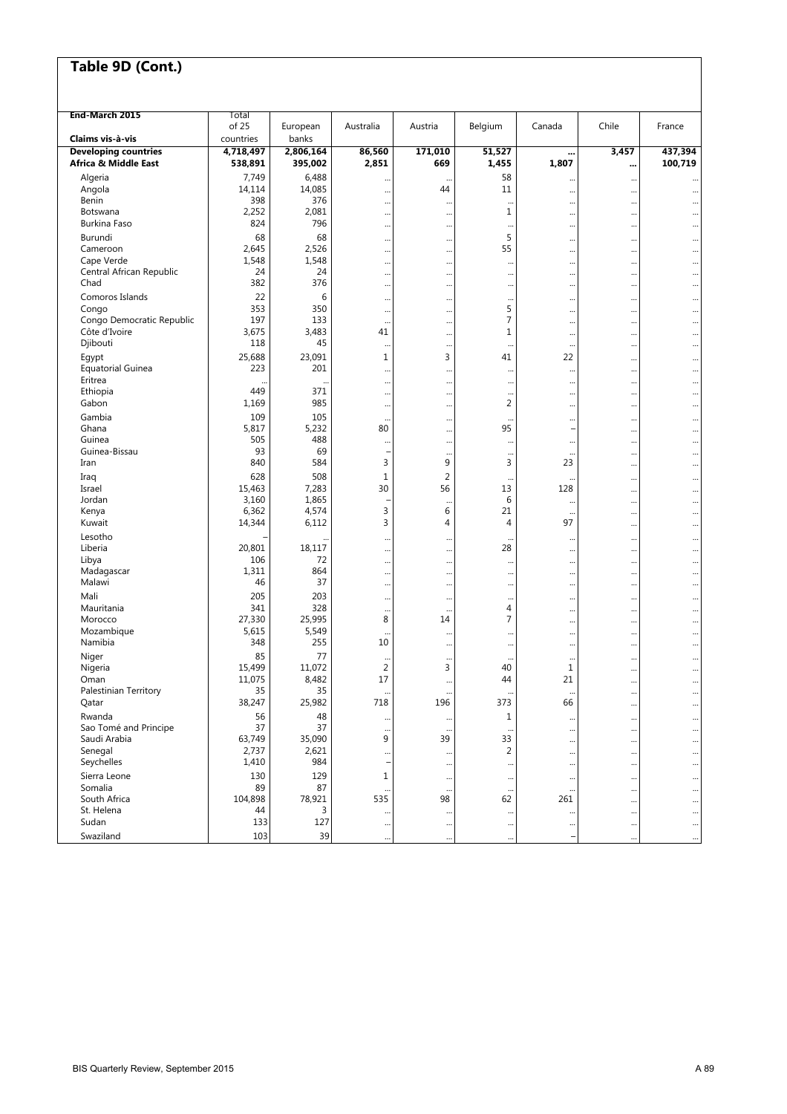| End-March 2015                                      | Total                |                      |                 |                      |                             |                      |           |                        |
|-----------------------------------------------------|----------------------|----------------------|-----------------|----------------------|-----------------------------|----------------------|-----------|------------------------|
|                                                     | of 25                | European             | Australia       | Austria              | Belgium                     | Canada               | Chile     | France                 |
| Claims vis à vis                                    | countries            | banks                |                 |                      |                             |                      |           |                        |
| <b>Developing countries</b><br>Africa & Middle East | 4,718,497<br>538,891 | 2,806,164<br>395,002 | 86,560<br>2,851 | 171,010<br>669       | 51,527<br>1,455             | <br>1,807            | 3,457<br> | 437,394<br>100,719     |
| Algeria                                             | 7,749                | 6,488                |                 | $\ddot{\phantom{0}}$ | 58                          |                      |           |                        |
| Angola                                              | 14,114               | 14,085               |                 | 44                   | 11                          |                      |           | $\ddotsc$              |
| Benin                                               | 398                  | 376                  |                 | $\cdots$             |                             |                      |           |                        |
| Botswana                                            | 2,252<br>824         | 2,081<br>796         |                 | $\ddotsc$            | $\mathbf{1}$                |                      |           |                        |
| Burkina Faso                                        |                      |                      |                 |                      | $\ddotsc$                   |                      |           |                        |
| Burundi<br>Cameroon                                 | 68<br>2,645          | 68<br>2,526          |                 | $\ddotsc$            | 5<br>55                     |                      |           | $\ddotsc$              |
| Cape Verde                                          | 1,548                | 1,548                |                 |                      |                             | <br>                 |           |                        |
| Central African Republic                            | 24                   | 24                   | <br>            | <br>                 | <br>                        |                      | <br>      | $\ddotsc$<br>$\ddotsc$ |
| Chad                                                | 382                  | 376                  |                 |                      | $\cdots$                    |                      |           | $\ddotsc$              |
| Comoros Islands                                     | 22                   | 6                    |                 |                      | $\ddotsc$                   |                      |           |                        |
| Congo                                               | 353                  | 350                  |                 |                      | 5                           |                      |           | $\ddotsc$              |
| Congo Democratic Republic                           | 197                  | 133                  |                 |                      | 7                           |                      |           |                        |
| Côte d'Ivoire                                       | 3,675                | 3,483                | 41              |                      | $\mathbf 1$                 |                      |           | $\ddotsc$              |
| Djibouti                                            | 118                  | 45                   |                 |                      | $\cdot$                     |                      |           |                        |
| Egypt                                               | 25,688               | 23,091               | 1               | 3                    | 41                          | 22                   |           |                        |
| <b>Equatorial Guinea</b>                            | 223                  | 201                  |                 |                      | $\ddotsc$                   | $\ddotsc$            |           |                        |
| Eritrea<br>Ethiopia                                 | $\ddotsc$<br>449     | $\ddotsc$<br>371     |                 |                      | $\ddotsc$                   |                      |           | $\ddotsc$              |
| Gabon                                               | 1,169                | 985                  | $\cdots$        |                      | $\ddotsc$<br>$\overline{2}$ |                      |           | $\ddotsc$              |
| Gambia                                              | 109                  | 105                  |                 |                      |                             |                      |           | $\ddotsc$              |
| Ghana                                               | 5,817                | 5,232                | <br>80          |                      | 95                          |                      |           |                        |
| Guinea                                              | 505                  | 488                  |                 | <br>$\ddotsc$        | $\ddotsc$                   |                      | <br>      | <br>                   |
| Guinea-Bissau                                       | 93                   | 69                   |                 | $\ddotsc$            | $\ddotsc$                   | $\cdots$             |           | $\ddotsc$              |
| Iran                                                | 840                  | 584                  | 3               | 9                    | 3                           | 23                   |           |                        |
| Iraq                                                | 628                  | 508                  | $\mathbf{1}$    | $\overline{2}$       |                             |                      |           |                        |
| Israel                                              | 15,463               | 7,283                | 30              | 56                   | 13                          | 128                  |           |                        |
| Jordan                                              | 3,160                | 1,865                |                 | $\ddotsc$            | 6                           | $\ddotsc$            |           | $\ddotsc$              |
| Kenya                                               | 6,362                | 4,574                | 3               | 6                    | 21                          | $\ddotsc$            |           |                        |
| Kuwait                                              | 14,344               | 6,112                | 3               | 4                    | 4                           | 97                   |           | $\ddotsc$              |
| Lesotho                                             |                      |                      |                 |                      |                             |                      |           |                        |
| Liberia                                             | 20,801               | 18,117               |                 |                      | 28                          |                      |           |                        |
| Libya                                               | 106                  | 72                   |                 |                      | $\ddotsc$                   |                      |           |                        |
| Madagascar<br>Malawi                                | 1,311<br>46          | 864<br>37            |                 | $\ddotsc$            | $\ddotsc$                   |                      |           | $\ddotsc$              |
|                                                     |                      |                      |                 |                      |                             |                      |           | $\ddotsc$              |
| Mali<br>Mauritania                                  | 205<br>341           | 203<br>328           |                 | $\ddotsc$            | $\cdot\cdot$<br>4           |                      |           | $\ddotsc$              |
| Morocco                                             | 27,330               | 25,995               | <br>8           | <br>14               | $\overline{7}$              | <br>                 |           |                        |
| Mozambique                                          | 5,615                | 5,549                |                 |                      |                             |                      | <br>      | <br>                   |
| Namibia                                             | 348                  | 255                  | 10              | $\ddotsc$            | $\ddotsc$                   |                      |           | $\ddotsc$              |
| Niger                                               | 85                   | 77                   |                 | $\ddotsc$            | $\ddot{\phantom{0}}$        | $\ddot{\phantom{0}}$ | $\cdots$  |                        |
| Nigeria                                             | 15,499               | 11,072               | $\overline{2}$  | 3                    | 40                          | $\mathbf 1$          | $\ddots$  |                        |
| Oman                                                | 11,075               | 8,482                | 17              |                      | 44                          | 21                   |           |                        |
| Palestinian Territory                               | 35                   | 35                   |                 |                      |                             |                      |           |                        |
| Qatar                                               | 38,247               | 25,982               | 718             | 196                  | 373                         | 66                   |           |                        |
| Rwanda                                              | 56                   | 48                   |                 |                      | $1\,$                       |                      |           |                        |
| Sao Tomé and Principe                               | 37                   | 37                   |                 | $\ddotsc$            |                             |                      |           |                        |
| Saudi Arabia                                        | 63,749               | 35,090               | 9               | 39                   | 33                          |                      |           | $\ddotsc$              |
| Senegal                                             | 2,737                | 2,621                |                 |                      | $\overline{2}$              |                      |           |                        |
| Seychelles                                          | 1,410                | 984                  |                 |                      | $\ddotsc$                   | $\ddot{\phantom{a}}$ |           |                        |
| Sierra Leone                                        | 130                  | 129                  | 1               | $\cdots$             | $\cdots$                    | $\cdots$             |           |                        |
| Somalia<br>South Africa                             | 89<br>104,898        | 87                   | 535             | 98                   | $\cdot$<br>62               | $\ddots$<br>261      |           |                        |
| St. Helena                                          | 44                   | 78,921<br>3          |                 |                      |                             |                      |           |                        |
| Sudan                                               | 133                  | 127                  | <br>            | <br>                 | <br>                        | <br>                 | <br>      | <br>                   |
| Swaziland                                           | 103                  | 39                   |                 |                      |                             |                      |           |                        |
|                                                     |                      |                      |                 | $\ddotsc$            |                             |                      |           |                        |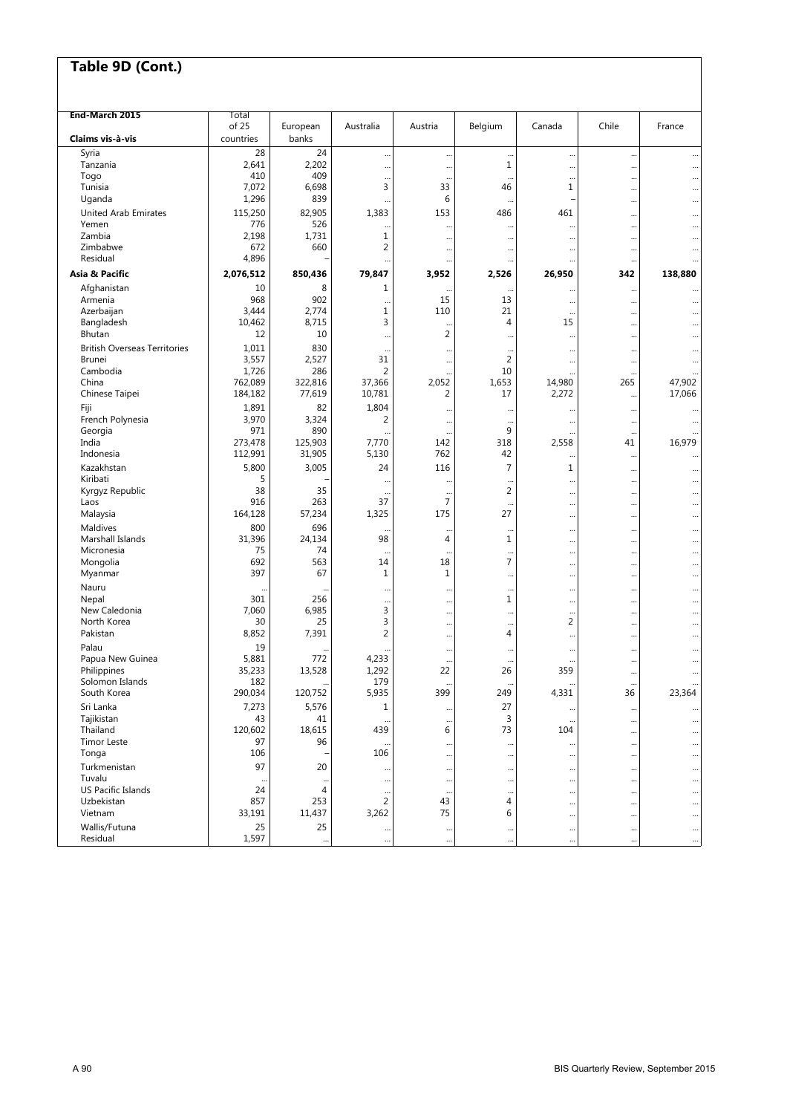| End-March 2015                      | Total          |                      |                |                  |                                        |                      |                                   |                        |
|-------------------------------------|----------------|----------------------|----------------|------------------|----------------------------------------|----------------------|-----------------------------------|------------------------|
|                                     | of 25          | European             | Australia      | Austria          | Belgium                                | Canada               | Chile                             | France                 |
| Claims vis à vis                    | countries      | banks                |                |                  |                                        |                      |                                   |                        |
| Syria                               | 28             | 24                   |                |                  |                                        |                      |                                   |                        |
| Tanzania<br>Togo                    | 2,641<br>410   | 2,202<br>409         |                |                  | $\mathbf{1}$                           |                      |                                   |                        |
| Tunisia                             | 7,072          | 6,698                | <br>3          | $\ddotsc$<br>33  | <br>46                                 | <br>1                | <br>                              | $\ddotsc$              |
| Uganda                              | 1,296          | 839                  |                | 6                |                                        |                      |                                   |                        |
| <b>United Arab Emirates</b>         | 115,250        | 82,905               | 1,383          | 153              | 486                                    | 461                  |                                   |                        |
| Yemen                               | 776            | 526                  |                |                  | $\ddot{\phantom{a}}$                   | $\ddot{\phantom{a}}$ | $\ddots$                          |                        |
| Zambia                              | 2,198          | 1,731                | 1              |                  | $\ddotsc$                              |                      | $\ddot{\phantom{0}}$              | $\ddotsc$              |
| Zimbabwe                            | 672            | 660                  | 2              | $\cdots$         | $\cdots$                               |                      |                                   |                        |
| Residual                            | 4,896          |                      |                |                  | $\ddotsc$                              |                      | $\ddots$                          |                        |
| Asia & Pacific                      | 2,076,512      | 850,436              | 79,847         | 3,952            | 2,526                                  | 26,950               | 342                               | 138,880                |
| Afghanistan                         | 10             | 8                    | 1              |                  |                                        |                      |                                   |                        |
| Armenia<br>Azerbaijan               | 968<br>3,444   | 902<br>2,774         | $\ddotsc$<br>1 | 15<br>110        | 13<br>21                               |                      |                                   |                        |
| Bangladesh                          | 10,462         | 8,715                | 3              |                  | $\overline{4}$                         | <br>15               | <br>                              |                        |
| Bhutan                              | 12             | 10                   |                | <br>2            | $\ddotsc$                              |                      | $\ddots$                          | $\ddotsc$              |
| <b>British Overseas Territories</b> | 1,011          | 830                  |                |                  |                                        |                      | $\ddot{\phantom{0}}$              |                        |
| <b>Brunei</b>                       | 3,557          | 2,527                | 31             |                  | $\overline{2}$                         |                      | $\ddots$                          |                        |
| Cambodia                            | 1,726          | 286                  | 2              |                  | 10                                     |                      |                                   |                        |
| China                               | 762,089        | 322,816              | 37,366         | 2,052            | 1,653                                  | 14,980               | 265                               | 47,902                 |
| Chinese Taipei                      | 184,182        | 77,619               | 10,781         | 2                | 17                                     | 2,272                |                                   | 17,066                 |
| Fiji                                | 1,891          | 82                   | 1,804          |                  |                                        |                      | $\ddotsc$                         |                        |
| French Polynesia                    | 3,970          | 3,324                | 2              |                  | $\ddot{\phantom{0}}$                   |                      | $\ddot{\phantom{0}}$              |                        |
| Georgia<br>India                    | 971<br>273,478 | 890<br>125,903       | 7,770          | <br>142          | 9<br>318                               | 2,558                | $\ddot{\phantom{0}}$<br>41        | 16,979                 |
| Indonesia                           | 112,991        | 31,905               | 5,130          | 762              | 42                                     |                      |                                   |                        |
| Kazakhstan                          | 5,800          | 3,005                | 24             | 116              | $\overline{7}$                         | $\mathbf{1}$         | $\ddotsc$                         |                        |
| Kiribati                            | 5              |                      |                |                  | $\ddot{\phantom{a}}$                   |                      | $\ddotsc$<br>$\ddot{\phantom{0}}$ |                        |
| Kyrgyz Republic                     | 38             | 35                   |                |                  | $\overline{2}$                         |                      |                                   |                        |
| Laos                                | 916            | 263                  | 37             | $\overline{7}$   | $\ddotsc$                              |                      |                                   |                        |
| Malaysia                            | 164,128        | 57,234               | 1,325          | 175              | 27                                     |                      | $\ddots$                          |                        |
| Maldives                            | 800            | 696                  | $\ddotsc$      |                  |                                        |                      | $\ddots$                          |                        |
| Marshall Islands                    | 31,396         | 24,134               | 98             | $\overline{4}$   | 1                                      |                      |                                   | $\ddotsc$              |
| Micronesia<br>Mongolia              | 75<br>692      | 74<br>563            | 14             | <br>18           | $\ddot{\phantom{0}}$<br>$\overline{7}$ |                      | $\ddot{\phantom{0}}$              | $\ddotsc$              |
| Myanmar                             | 397            | 67                   | 1              | $\mathbf{1}$     |                                        |                      | <br>                              | $\ddotsc$<br>$\ddotsc$ |
| Nauru                               |                |                      |                |                  |                                        |                      |                                   | $\ddotsc$              |
| Nepal                               | 301            | 256                  |                |                  | 1                                      |                      | $\ddot{\phantom{0}}$              | $\ddotsc$              |
| New Caledonia                       | 7,060          | 6,985                | 3              |                  | $\ddotsc$                              |                      |                                   | $\ddotsc$              |
| North Korea                         | 30             | 25                   | 3              |                  | $\ddotsc$                              | $\overline{2}$       |                                   | $\ddotsc$              |
| Pakistan                            | 8,852          | 7,391                | 2              |                  | 4                                      |                      |                                   |                        |
| Palau                               | 19             |                      |                |                  | $\ddotsc$                              |                      | $\ddotsc$                         | $\ddotsc$              |
| Papua New Guinea                    | 5,881          | 772                  | 4,233          |                  | $\ddot{\phantom{0}}$                   |                      |                                   |                        |
| Philippines<br>Solomon Islands      | 35,233<br>182  | 13,528               | 1,292<br>179   | 22               | 26                                     | 359                  | $\ddotsc$                         |                        |
| South Korea                         | 290,034        | $\ddotsc$<br>120,752 | 5,935          | $\ddotsc$<br>399 | $\ddotsc$<br>249                       | <br>4,331            | $\ddot{\phantom{0}}$<br>36        | <br>23,364             |
| Sri Lanka                           | 7,273          | 5,576                | 1              |                  | 27                                     |                      | $\ddotsc$                         |                        |
| Tajikistan                          | 43             | 41                   |                | $\ddotsc$<br>    | 3                                      |                      |                                   |                        |
| Thailand                            | 120,602        | 18,615               | 439            | 6                | 73                                     | 104                  |                                   |                        |
| <b>Timor Leste</b>                  | 97             | 96                   |                |                  |                                        |                      | $\cdots$                          |                        |
| Tonga                               | 106            |                      | 106            |                  |                                        |                      | $\ddot{\phantom{0}}$              |                        |
| Turkmenistan                        | 97             | 20                   |                | $\cdots$         | $\cdots$                               |                      | $\cdots$                          |                        |
| Tuvalu                              | $\ddotsc$      |                      |                |                  |                                        |                      |                                   |                        |
| US Pacific Islands<br>Uzbekistan    | 24<br>857      | 4<br>253             | <br>2          | <br>43           | $\ddotsc$<br>4                         |                      |                                   |                        |
| Vietnam                             | 33,191         | 11,437               | 3,262          | 75               | 6                                      |                      | <br>$\cdots$                      |                        |
| Wallis/Futuna                       | 25             | 25                   |                | $\cdots$         | $\cdots$                               |                      | $\ddotsc$                         | $\cdots$               |
| Residual                            | 1,597          |                      | $\cdots$<br>   |                  | $\ddotsc$                              |                      | $\ddot{\phantom{0}}$              | $\cdots$               |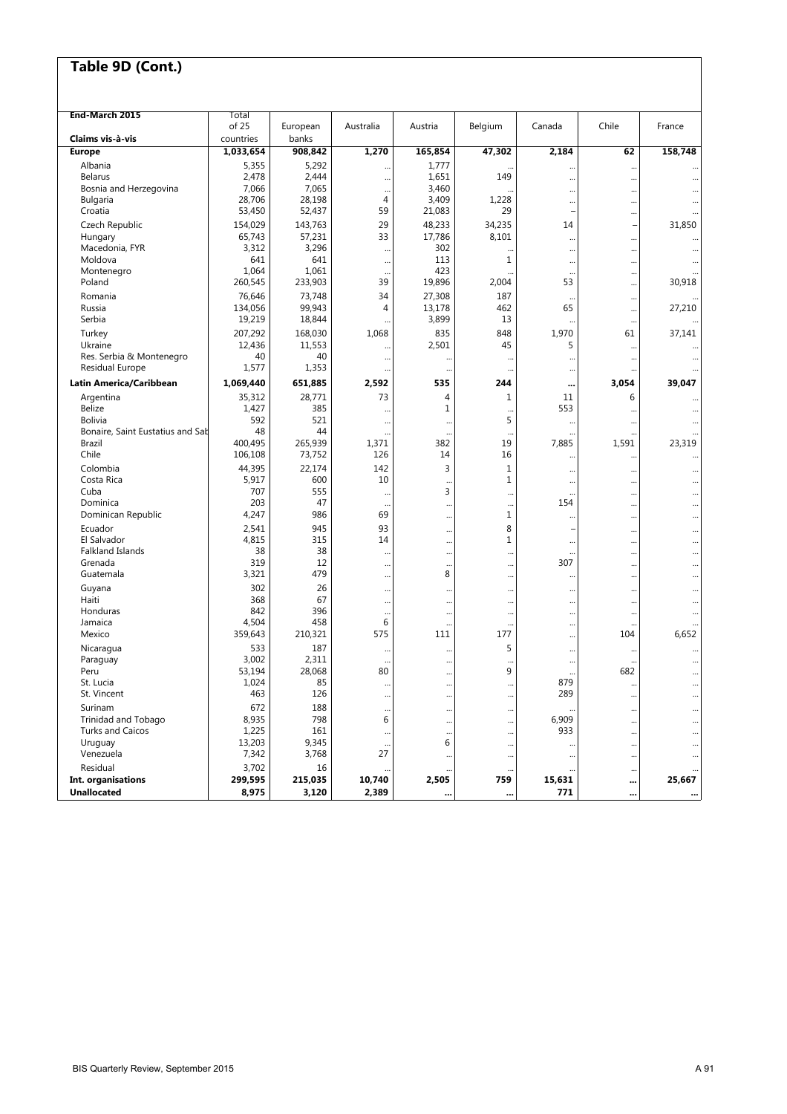| End-March 2015                      | Total           |                |                      |                |                |           |                      |                                   |
|-------------------------------------|-----------------|----------------|----------------------|----------------|----------------|-----------|----------------------|-----------------------------------|
|                                     | of 25           | European       | Australia            | Austria        | Belgium        | Canada    | Chile                | France                            |
| Claims vis-à-vis                    | countries       | banks          |                      |                |                |           |                      |                                   |
| <b>Europe</b>                       | 1,033,654       | 908,842        | 1,270                | 165,854        | 47,302         | 2,184     | 62                   | 158,748                           |
| Albania<br><b>Belarus</b>           | 5,355<br>2,478  | 5,292<br>2,444 |                      | 1,777<br>1,651 | 149            |           | $\ddot{\phantom{0}}$ |                                   |
| Bosnia and Herzegovina              | 7,066           | 7,065          |                      | 3,460          |                |           |                      | $\ddotsc$                         |
| <b>Bulgaria</b>                     | 28,706          | 28,198         | <br>4                | 3,409          | 1,228          | $\ddotsc$ | <br>                 |                                   |
| Croatia                             | 53,450          | 52,437         | 59                   | 21,083         | 29             |           |                      |                                   |
| Czech Republic                      | 154,029         | 143,763        | 29                   | 48,233         | 34,235         | 14        | ٠                    | 31,850                            |
| Hungary                             | 65,743          | 57,231         | 33                   | 17,786         | 8,101          |           |                      |                                   |
| Macedonia, FYR                      | 3,312           | 3,296          |                      | 302            |                |           |                      | $\ddotsc$                         |
| Moldova                             | 641             | 641            |                      | 113            | $\mathbf{1}$   |           |                      |                                   |
| Montenegro                          | 1,064           | 1,061          | $\cdots$             | 423            |                |           |                      |                                   |
| Poland                              | 260,545         | 233,903        | 39                   | 19,896         | 2,004          | 53        |                      | 30,918                            |
| Romania                             | 76,646          | 73,748         | 34                   | 27,308         | 187            |           |                      |                                   |
| Russia                              | 134,056         | 99,943         | 4                    | 13,178         | 462            | 65        |                      | 27,210                            |
| Serbia                              | 19,219          | 18,844         |                      | 3,899          | 13             |           |                      |                                   |
| Turkey                              | 207,292         | 168,030        | 1,068                | 835            | 848            | 1,970     | 61                   | 37,141                            |
| Ukraine<br>Res. Serbia & Montenegro | 12,436<br>40    | 11,553<br>40   |                      | 2,501          | 45             | 5         |                      |                                   |
| Residual Europe                     | 1,577           | 1,353          | <br>                 | <br>           | <br>$\cdots$   | $\ddots$  | <br>                 |                                   |
| Latin America/Caribbean             | 1,069,440       | 651,885        | 2,592                | 535            | 244            |           | 3,054                | 39,047                            |
| Argentina                           | 35,312          | 28,771         | 73                   | 4              | $\mathbf{1}$   | 11        | 6                    |                                   |
| <b>Belize</b>                       | 1,427           | 385            |                      | 1              |                | 553       |                      |                                   |
| <b>Bolivia</b>                      | 592             | 521            | $\cdots$             |                | 5              |           |                      | $\ddotsc$                         |
| Bonaire, Saint Eustatius and Sab    | 48              | 44             |                      |                | $\ddotsc$      |           |                      |                                   |
| Brazil                              | 400,495         | 265,939        | 1,371                | 382            | 19             | 7,885     | 1,591                | 23,319                            |
| Chile                               | 106,108         | 73,752         | 126                  | 14             | 16             |           |                      |                                   |
| Colombia                            | 44,395          | 22,174         | 142                  | 3              | 1              |           |                      |                                   |
| Costa Rica                          | 5,917           | 600            | 10                   | $\ddotsc$      | $\mathbf{1}$   |           |                      | $\ddotsc$                         |
| Cuba                                | 707             | 555            | $\cdots$             | 3              | $\ddotsc$      |           |                      | $\ddotsc$                         |
| Dominica                            | 203<br>4,247    | 47<br>986      | $\cdots$<br>69       |                | $\ddotsc$<br>1 | 154       |                      | $\cdots$                          |
| Dominican Republic                  |                 |                |                      |                |                | $\ddots$  |                      | $\ddotsc$                         |
| Ecuador<br>El Salvador              | 2,541<br>4,815  | 945<br>315     | 93<br>14             |                | 8<br>1         |           |                      | $\ddotsc$                         |
| Falkland Islands                    | 38              | 38             |                      |                |                |           |                      | $\ddotsc$                         |
| Grenada                             | 319             | 12             | $\cdots$<br>$\cdots$ | <br>           | <br>           | <br>307   | <br>                 | $\ddot{\phantom{0}}$<br>$\ddotsc$ |
| Guatemala                           | 3,321           | 479            | $\cdots$             | 8              |                |           |                      | $\ddotsc$                         |
| Guyana                              | 302             | 26             |                      |                |                |           |                      |                                   |
| Haiti                               | 368             | 67             |                      |                | $\ddotsc$      |           |                      | $\ddotsc$                         |
| Honduras                            | 842             | 396            |                      |                | $\cdots$       |           |                      | $\ddotsc$                         |
| Jamaica                             | 4,504           | 458            | 6                    |                | $\ddotsc$      |           |                      | $\ddotsc$                         |
| Mexico                              | 359,643         | 210,321        | 575                  | 111            | 177            |           | 104                  | 6,652                             |
| Nicaragua                           | 533             | 187            | $\cdots$             |                | 5              |           |                      | $\ddotsc$                         |
| Paraguay                            | 3,002           | 2,311          | $\cdots$             |                | $\ddotsc$      |           |                      |                                   |
| Peru<br>St. Lucia                   | 53,194<br>1,024 | 28,068<br>85   | 80                   |                | 9              | <br>879   | 682                  | $\ddotsc$                         |
| St. Vincent                         | 463             | 126            | $\cdots$             |                | $\cdots$       | 289       |                      | $\cdots$                          |
| Surinam                             | 672             | 188            | $\cdots$             |                | $\cdots$       |           |                      | $\ddotsc$                         |
| Trinidad and Tobago                 | 8,935           | 798            | <br>6                | <br>           | <br>           | 6,909     | <br>                 | $\ddotsc$                         |
| <b>Turks and Caicos</b>             | 1,225           | 161            |                      |                |                | 933       |                      |                                   |
| Uruguay                             | 13,203          | 9,345          | $\cdots$             | 6              |                |           |                      | $\cdots$                          |
| Venezuela                           | 7,342           | 3,768          | 27                   |                | $\cdots$       |           |                      | $\cdots$                          |
| Residual                            | 3,702           | 16             |                      |                |                |           |                      |                                   |
| Int. organisations                  | 299,595         | 215,035        | 10,740               | 2,505          | 759            | 15,631    |                      | 25,667                            |
| <b>Unallocated</b>                  | 8,975           | 3,120          | 2,389                |                |                | 771       |                      |                                   |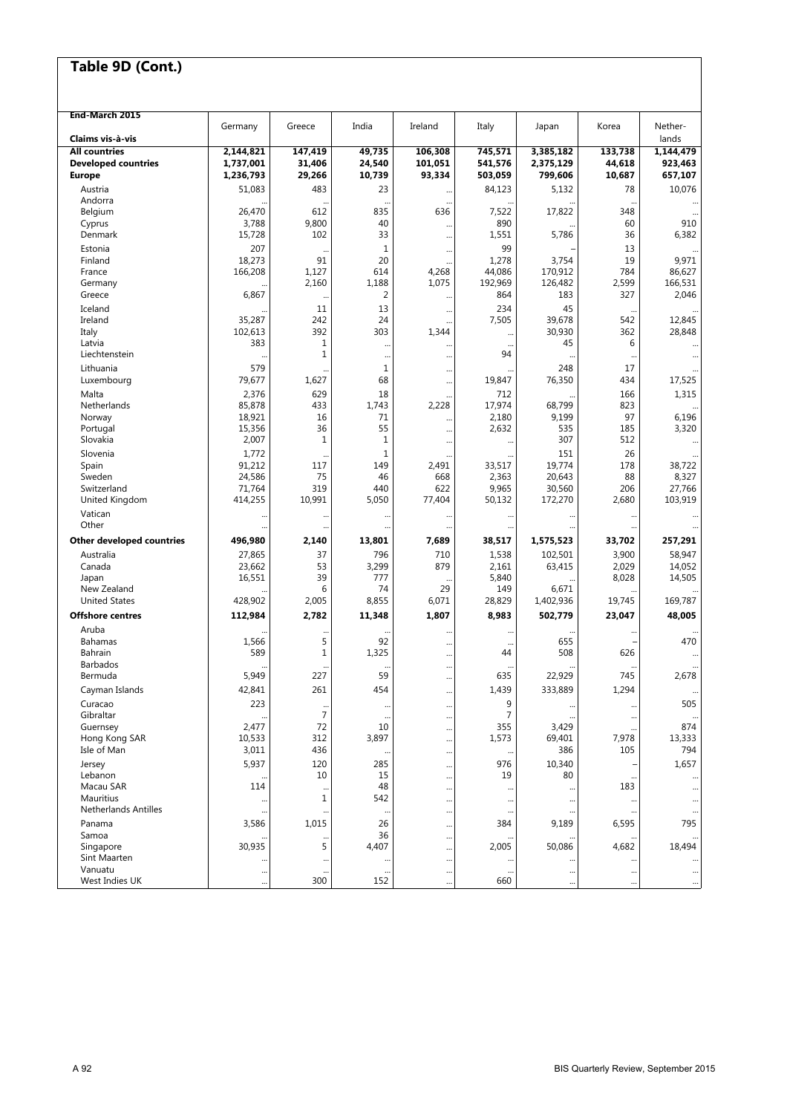| Germany<br>India<br>Ireland<br>Italy<br>Korea<br>Nether-<br>Greece<br>Japan<br>Claims vis à-vis<br>lands<br>49,735<br>1,144,479<br><b>All countries</b><br>2,144,821<br>147,419<br>106,308<br>745,571<br>3,385,182<br>133,738<br>31,406<br>24,540<br><b>Developed countries</b><br>1,737,001<br>101,051<br>541,576<br>2,375,129<br>44,618<br>923,463<br>1,236,793<br>29,266<br>10,739<br>93,334<br>503,059<br>799,606<br>10,687<br>657,107<br><b>Europe</b><br>10,076<br>51,083<br>483<br>23<br>84,123<br>5,132<br>78<br>Austria<br><br>Andorra<br><br>Belgium<br>26,470<br>612<br>835<br>636<br>7,522<br>17,822<br>348<br>Cyprus<br>3,788<br>9,800<br>40<br>890<br>910<br>60<br><br>6,382<br>15,728<br>33<br>1,551<br>5,786<br>36<br>Denmark<br>102<br><br>Estonia<br>207<br>$1\,$<br>99<br>13<br><br>18,273<br>91<br>20<br>1,278<br>3,754<br>19<br>9,971<br>Finland<br><br>166,208<br>614<br>4,268<br>44,086<br>170,912<br>784<br>86,627<br>France<br>1,127<br>2,160<br>1,188<br>1,075<br>192,969<br>126,482<br>2,599<br>166,531<br>Germany<br>6,867<br>183<br>327<br>2,046<br>Greece<br>2<br>864<br><br>13<br>234<br>Iceland<br>11<br>45<br><br>$\ddotsc$<br>Ireland<br>242<br>39,678<br>35,287<br>24<br>7,505<br>542<br>12,845<br>102,613<br>392<br>303<br>1,344<br>30,930<br>362<br>28,848<br>Italy<br><br>383<br>Latvia<br>1<br>45<br>6<br><br>$\ddotsc$<br><br>Liechtenstein<br>$\mathbf{1}$<br>94<br><br><br><br>$\ddotsc$<br>579<br>$\mathbf 1$<br>Lithuania<br>248<br>17<br><br>79,677<br>1,627<br>68<br>76,350<br>17,525<br>Luxembourg<br>19,847<br>434<br><br>Malta<br>2,376<br>629<br>18<br>712<br>166<br>1,315<br>17,974<br>Netherlands<br>85,878<br>433<br>2,228<br>823<br>1,743<br>68,799<br>18,921<br>16<br>71<br>2,180<br>9,199<br>97<br>6,196<br>Norway<br><br>55<br>3,320<br>15,356<br>36<br>2,632<br>535<br>185<br>Portugal<br><br>Slovakia<br>2,007<br>$1\,$<br>$\mathbf{1}$<br>307<br>512<br><br>1,772<br>$\mathbf 1$<br>151<br>26<br>Slovenia<br>91,212<br>117<br>149<br>2,491<br>33,517<br>19,774<br>178<br>38,722<br>Spain<br>2,363<br>Sweden<br>24,586<br>75<br>46<br>668<br>20,643<br>88<br>8,327<br>71,764<br>319<br>440<br>622<br>9,965<br>30,560<br>206<br>27,766<br>Switzerland<br>414,255<br>10,991<br>5,050<br>77,404<br>50,132<br>172,270<br>2,680<br>103,919<br>United Kingdom<br>Vatican<br><br><br>Other<br>$\ddotsc$<br><br><br>496,980<br>2,140<br>13,801<br>1,575,523<br>257,291<br>Other developed countries<br>7,689<br>38,517<br>33,702<br>58,947<br>27,865<br>37<br>796<br>710<br>1,538<br>102,501<br>3,900<br>Australia<br>23,662<br>53<br>3,299<br>879<br>2,029<br>14,052<br>Canada<br>2,161<br>63,415<br>39<br>5,840<br>Japan<br>16,551<br>777<br>8,028<br>14,505<br>29<br>6<br>74<br>149<br>New Zealand<br>6,671<br><b>United States</b><br>428,902<br>2,005<br>8,855<br>6,071<br>28,829<br>1,402,936<br>19,745<br>169,787<br>2,782<br><b>Offshore centres</b><br>112,984<br>11,348<br>1,807<br>8,983<br>502,779<br>23,047<br>48,005<br>Aruba<br><br>$\ddotsc$<br>1,566<br>5<br>92<br>655<br>470<br><b>Bahamas</b><br><br>$\ddotsc$<br>589<br>$1\,$<br>508<br>Bahrain<br>1,325<br>44<br>626<br><br><b>Barbados</b><br><br>5,949<br>59<br>22,929<br>745<br>2,678<br>227<br>635<br>Bermuda<br><br>42,841<br>261<br>454<br>1,439<br>333,889<br>1,294<br>Cayman Islands<br><br>223<br>9<br>505<br>Curacao<br><br><br>$\ddots$<br>$\ddotsc$<br>$\overline{7}$<br>Gibraltar<br>7<br><br><br><br>Guernsey<br>2,477<br>355<br>3,429<br>874<br>72<br>10<br><br>Hong Kong SAR<br>10,533<br>312<br>3,897<br>1,573<br>69,401<br>13,333<br>7,978<br><br>Isle of Man<br>3,011<br>436<br>386<br>105<br>794<br><br>5,937<br>120<br>285<br>1,657<br>976<br>10,340<br>Jersey<br><br>Lebanon<br>10<br>15<br>19<br>80<br><br>$\ddots$<br>Macau SAR<br>48<br>114<br>183<br><br><br><br>542<br>Mauritius<br>$1\,$<br>$\ddot{\phantom{0}}$<br><br>$\ddotsc$<br><br>$\ddotsc$<br><b>Netherlands Antilles</b><br><br>$\ddotsc$<br>$\ddotsc$<br>$\ddotsc$<br>1,015<br>26<br>6,595<br>795<br>Panama<br>3,586<br>384<br>9,189<br><br>36<br>Samoa<br><br>30,935<br>4,407<br>50,086<br>5<br>2,005<br>4,682<br>18,494<br>Singapore<br><br><b>Sint Maarten</b><br><br><br><br>Vanuatu<br><br><br><br>$\ddotsc$<br><br>$\cdots$<br>West Indies UK<br>300<br>152<br>660<br><br><br><br><br> | End-March 2015 |  |  |  |  |
|------------------------------------------------------------------------------------------------------------------------------------------------------------------------------------------------------------------------------------------------------------------------------------------------------------------------------------------------------------------------------------------------------------------------------------------------------------------------------------------------------------------------------------------------------------------------------------------------------------------------------------------------------------------------------------------------------------------------------------------------------------------------------------------------------------------------------------------------------------------------------------------------------------------------------------------------------------------------------------------------------------------------------------------------------------------------------------------------------------------------------------------------------------------------------------------------------------------------------------------------------------------------------------------------------------------------------------------------------------------------------------------------------------------------------------------------------------------------------------------------------------------------------------------------------------------------------------------------------------------------------------------------------------------------------------------------------------------------------------------------------------------------------------------------------------------------------------------------------------------------------------------------------------------------------------------------------------------------------------------------------------------------------------------------------------------------------------------------------------------------------------------------------------------------------------------------------------------------------------------------------------------------------------------------------------------------------------------------------------------------------------------------------------------------------------------------------------------------------------------------------------------------------------------------------------------------------------------------------------------------------------------------------------------------------------------------------------------------------------------------------------------------------------------------------------------------------------------------------------------------------------------------------------------------------------------------------------------------------------------------------------------------------------------------------------------------------------------------------------------------------------------------------------------------------------------------------------------------------------------------------------------------------------------------------------------------------------------------------------------------------------------------------------------------------------------------------------------------------------------------------------------------------------------------------------------------------------------------------------------------------------------------------------------------------------------------------------------------------------------------------------------------------------------------------------------------------------------------------------------------------------------------------------------------------------------------------------------------------------------------------------------------------------------------------------------------------------------------------------------------------------------------------------------------------------------------------------------------------------------------------------------------------------------------------------|----------------|--|--|--|--|
|                                                                                                                                                                                                                                                                                                                                                                                                                                                                                                                                                                                                                                                                                                                                                                                                                                                                                                                                                                                                                                                                                                                                                                                                                                                                                                                                                                                                                                                                                                                                                                                                                                                                                                                                                                                                                                                                                                                                                                                                                                                                                                                                                                                                                                                                                                                                                                                                                                                                                                                                                                                                                                                                                                                                                                                                                                                                                                                                                                                                                                                                                                                                                                                                                                                                                                                                                                                                                                                                                                                                                                                                                                                                                                                                                                                                                                                                                                                                                                                                                                                                                                                                                                                                                                                                                                            |                |  |  |  |  |
|                                                                                                                                                                                                                                                                                                                                                                                                                                                                                                                                                                                                                                                                                                                                                                                                                                                                                                                                                                                                                                                                                                                                                                                                                                                                                                                                                                                                                                                                                                                                                                                                                                                                                                                                                                                                                                                                                                                                                                                                                                                                                                                                                                                                                                                                                                                                                                                                                                                                                                                                                                                                                                                                                                                                                                                                                                                                                                                                                                                                                                                                                                                                                                                                                                                                                                                                                                                                                                                                                                                                                                                                                                                                                                                                                                                                                                                                                                                                                                                                                                                                                                                                                                                                                                                                                                            |                |  |  |  |  |
|                                                                                                                                                                                                                                                                                                                                                                                                                                                                                                                                                                                                                                                                                                                                                                                                                                                                                                                                                                                                                                                                                                                                                                                                                                                                                                                                                                                                                                                                                                                                                                                                                                                                                                                                                                                                                                                                                                                                                                                                                                                                                                                                                                                                                                                                                                                                                                                                                                                                                                                                                                                                                                                                                                                                                                                                                                                                                                                                                                                                                                                                                                                                                                                                                                                                                                                                                                                                                                                                                                                                                                                                                                                                                                                                                                                                                                                                                                                                                                                                                                                                                                                                                                                                                                                                                                            |                |  |  |  |  |
|                                                                                                                                                                                                                                                                                                                                                                                                                                                                                                                                                                                                                                                                                                                                                                                                                                                                                                                                                                                                                                                                                                                                                                                                                                                                                                                                                                                                                                                                                                                                                                                                                                                                                                                                                                                                                                                                                                                                                                                                                                                                                                                                                                                                                                                                                                                                                                                                                                                                                                                                                                                                                                                                                                                                                                                                                                                                                                                                                                                                                                                                                                                                                                                                                                                                                                                                                                                                                                                                                                                                                                                                                                                                                                                                                                                                                                                                                                                                                                                                                                                                                                                                                                                                                                                                                                            |                |  |  |  |  |
|                                                                                                                                                                                                                                                                                                                                                                                                                                                                                                                                                                                                                                                                                                                                                                                                                                                                                                                                                                                                                                                                                                                                                                                                                                                                                                                                                                                                                                                                                                                                                                                                                                                                                                                                                                                                                                                                                                                                                                                                                                                                                                                                                                                                                                                                                                                                                                                                                                                                                                                                                                                                                                                                                                                                                                                                                                                                                                                                                                                                                                                                                                                                                                                                                                                                                                                                                                                                                                                                                                                                                                                                                                                                                                                                                                                                                                                                                                                                                                                                                                                                                                                                                                                                                                                                                                            |                |  |  |  |  |
|                                                                                                                                                                                                                                                                                                                                                                                                                                                                                                                                                                                                                                                                                                                                                                                                                                                                                                                                                                                                                                                                                                                                                                                                                                                                                                                                                                                                                                                                                                                                                                                                                                                                                                                                                                                                                                                                                                                                                                                                                                                                                                                                                                                                                                                                                                                                                                                                                                                                                                                                                                                                                                                                                                                                                                                                                                                                                                                                                                                                                                                                                                                                                                                                                                                                                                                                                                                                                                                                                                                                                                                                                                                                                                                                                                                                                                                                                                                                                                                                                                                                                                                                                                                                                                                                                                            |                |  |  |  |  |
|                                                                                                                                                                                                                                                                                                                                                                                                                                                                                                                                                                                                                                                                                                                                                                                                                                                                                                                                                                                                                                                                                                                                                                                                                                                                                                                                                                                                                                                                                                                                                                                                                                                                                                                                                                                                                                                                                                                                                                                                                                                                                                                                                                                                                                                                                                                                                                                                                                                                                                                                                                                                                                                                                                                                                                                                                                                                                                                                                                                                                                                                                                                                                                                                                                                                                                                                                                                                                                                                                                                                                                                                                                                                                                                                                                                                                                                                                                                                                                                                                                                                                                                                                                                                                                                                                                            |                |  |  |  |  |
|                                                                                                                                                                                                                                                                                                                                                                                                                                                                                                                                                                                                                                                                                                                                                                                                                                                                                                                                                                                                                                                                                                                                                                                                                                                                                                                                                                                                                                                                                                                                                                                                                                                                                                                                                                                                                                                                                                                                                                                                                                                                                                                                                                                                                                                                                                                                                                                                                                                                                                                                                                                                                                                                                                                                                                                                                                                                                                                                                                                                                                                                                                                                                                                                                                                                                                                                                                                                                                                                                                                                                                                                                                                                                                                                                                                                                                                                                                                                                                                                                                                                                                                                                                                                                                                                                                            |                |  |  |  |  |
|                                                                                                                                                                                                                                                                                                                                                                                                                                                                                                                                                                                                                                                                                                                                                                                                                                                                                                                                                                                                                                                                                                                                                                                                                                                                                                                                                                                                                                                                                                                                                                                                                                                                                                                                                                                                                                                                                                                                                                                                                                                                                                                                                                                                                                                                                                                                                                                                                                                                                                                                                                                                                                                                                                                                                                                                                                                                                                                                                                                                                                                                                                                                                                                                                                                                                                                                                                                                                                                                                                                                                                                                                                                                                                                                                                                                                                                                                                                                                                                                                                                                                                                                                                                                                                                                                                            |                |  |  |  |  |
|                                                                                                                                                                                                                                                                                                                                                                                                                                                                                                                                                                                                                                                                                                                                                                                                                                                                                                                                                                                                                                                                                                                                                                                                                                                                                                                                                                                                                                                                                                                                                                                                                                                                                                                                                                                                                                                                                                                                                                                                                                                                                                                                                                                                                                                                                                                                                                                                                                                                                                                                                                                                                                                                                                                                                                                                                                                                                                                                                                                                                                                                                                                                                                                                                                                                                                                                                                                                                                                                                                                                                                                                                                                                                                                                                                                                                                                                                                                                                                                                                                                                                                                                                                                                                                                                                                            |                |  |  |  |  |
|                                                                                                                                                                                                                                                                                                                                                                                                                                                                                                                                                                                                                                                                                                                                                                                                                                                                                                                                                                                                                                                                                                                                                                                                                                                                                                                                                                                                                                                                                                                                                                                                                                                                                                                                                                                                                                                                                                                                                                                                                                                                                                                                                                                                                                                                                                                                                                                                                                                                                                                                                                                                                                                                                                                                                                                                                                                                                                                                                                                                                                                                                                                                                                                                                                                                                                                                                                                                                                                                                                                                                                                                                                                                                                                                                                                                                                                                                                                                                                                                                                                                                                                                                                                                                                                                                                            |                |  |  |  |  |
|                                                                                                                                                                                                                                                                                                                                                                                                                                                                                                                                                                                                                                                                                                                                                                                                                                                                                                                                                                                                                                                                                                                                                                                                                                                                                                                                                                                                                                                                                                                                                                                                                                                                                                                                                                                                                                                                                                                                                                                                                                                                                                                                                                                                                                                                                                                                                                                                                                                                                                                                                                                                                                                                                                                                                                                                                                                                                                                                                                                                                                                                                                                                                                                                                                                                                                                                                                                                                                                                                                                                                                                                                                                                                                                                                                                                                                                                                                                                                                                                                                                                                                                                                                                                                                                                                                            |                |  |  |  |  |
|                                                                                                                                                                                                                                                                                                                                                                                                                                                                                                                                                                                                                                                                                                                                                                                                                                                                                                                                                                                                                                                                                                                                                                                                                                                                                                                                                                                                                                                                                                                                                                                                                                                                                                                                                                                                                                                                                                                                                                                                                                                                                                                                                                                                                                                                                                                                                                                                                                                                                                                                                                                                                                                                                                                                                                                                                                                                                                                                                                                                                                                                                                                                                                                                                                                                                                                                                                                                                                                                                                                                                                                                                                                                                                                                                                                                                                                                                                                                                                                                                                                                                                                                                                                                                                                                                                            |                |  |  |  |  |
|                                                                                                                                                                                                                                                                                                                                                                                                                                                                                                                                                                                                                                                                                                                                                                                                                                                                                                                                                                                                                                                                                                                                                                                                                                                                                                                                                                                                                                                                                                                                                                                                                                                                                                                                                                                                                                                                                                                                                                                                                                                                                                                                                                                                                                                                                                                                                                                                                                                                                                                                                                                                                                                                                                                                                                                                                                                                                                                                                                                                                                                                                                                                                                                                                                                                                                                                                                                                                                                                                                                                                                                                                                                                                                                                                                                                                                                                                                                                                                                                                                                                                                                                                                                                                                                                                                            |                |  |  |  |  |
|                                                                                                                                                                                                                                                                                                                                                                                                                                                                                                                                                                                                                                                                                                                                                                                                                                                                                                                                                                                                                                                                                                                                                                                                                                                                                                                                                                                                                                                                                                                                                                                                                                                                                                                                                                                                                                                                                                                                                                                                                                                                                                                                                                                                                                                                                                                                                                                                                                                                                                                                                                                                                                                                                                                                                                                                                                                                                                                                                                                                                                                                                                                                                                                                                                                                                                                                                                                                                                                                                                                                                                                                                                                                                                                                                                                                                                                                                                                                                                                                                                                                                                                                                                                                                                                                                                            |                |  |  |  |  |
|                                                                                                                                                                                                                                                                                                                                                                                                                                                                                                                                                                                                                                                                                                                                                                                                                                                                                                                                                                                                                                                                                                                                                                                                                                                                                                                                                                                                                                                                                                                                                                                                                                                                                                                                                                                                                                                                                                                                                                                                                                                                                                                                                                                                                                                                                                                                                                                                                                                                                                                                                                                                                                                                                                                                                                                                                                                                                                                                                                                                                                                                                                                                                                                                                                                                                                                                                                                                                                                                                                                                                                                                                                                                                                                                                                                                                                                                                                                                                                                                                                                                                                                                                                                                                                                                                                            |                |  |  |  |  |
|                                                                                                                                                                                                                                                                                                                                                                                                                                                                                                                                                                                                                                                                                                                                                                                                                                                                                                                                                                                                                                                                                                                                                                                                                                                                                                                                                                                                                                                                                                                                                                                                                                                                                                                                                                                                                                                                                                                                                                                                                                                                                                                                                                                                                                                                                                                                                                                                                                                                                                                                                                                                                                                                                                                                                                                                                                                                                                                                                                                                                                                                                                                                                                                                                                                                                                                                                                                                                                                                                                                                                                                                                                                                                                                                                                                                                                                                                                                                                                                                                                                                                                                                                                                                                                                                                                            |                |  |  |  |  |
|                                                                                                                                                                                                                                                                                                                                                                                                                                                                                                                                                                                                                                                                                                                                                                                                                                                                                                                                                                                                                                                                                                                                                                                                                                                                                                                                                                                                                                                                                                                                                                                                                                                                                                                                                                                                                                                                                                                                                                                                                                                                                                                                                                                                                                                                                                                                                                                                                                                                                                                                                                                                                                                                                                                                                                                                                                                                                                                                                                                                                                                                                                                                                                                                                                                                                                                                                                                                                                                                                                                                                                                                                                                                                                                                                                                                                                                                                                                                                                                                                                                                                                                                                                                                                                                                                                            |                |  |  |  |  |
|                                                                                                                                                                                                                                                                                                                                                                                                                                                                                                                                                                                                                                                                                                                                                                                                                                                                                                                                                                                                                                                                                                                                                                                                                                                                                                                                                                                                                                                                                                                                                                                                                                                                                                                                                                                                                                                                                                                                                                                                                                                                                                                                                                                                                                                                                                                                                                                                                                                                                                                                                                                                                                                                                                                                                                                                                                                                                                                                                                                                                                                                                                                                                                                                                                                                                                                                                                                                                                                                                                                                                                                                                                                                                                                                                                                                                                                                                                                                                                                                                                                                                                                                                                                                                                                                                                            |                |  |  |  |  |
|                                                                                                                                                                                                                                                                                                                                                                                                                                                                                                                                                                                                                                                                                                                                                                                                                                                                                                                                                                                                                                                                                                                                                                                                                                                                                                                                                                                                                                                                                                                                                                                                                                                                                                                                                                                                                                                                                                                                                                                                                                                                                                                                                                                                                                                                                                                                                                                                                                                                                                                                                                                                                                                                                                                                                                                                                                                                                                                                                                                                                                                                                                                                                                                                                                                                                                                                                                                                                                                                                                                                                                                                                                                                                                                                                                                                                                                                                                                                                                                                                                                                                                                                                                                                                                                                                                            |                |  |  |  |  |
|                                                                                                                                                                                                                                                                                                                                                                                                                                                                                                                                                                                                                                                                                                                                                                                                                                                                                                                                                                                                                                                                                                                                                                                                                                                                                                                                                                                                                                                                                                                                                                                                                                                                                                                                                                                                                                                                                                                                                                                                                                                                                                                                                                                                                                                                                                                                                                                                                                                                                                                                                                                                                                                                                                                                                                                                                                                                                                                                                                                                                                                                                                                                                                                                                                                                                                                                                                                                                                                                                                                                                                                                                                                                                                                                                                                                                                                                                                                                                                                                                                                                                                                                                                                                                                                                                                            |                |  |  |  |  |
|                                                                                                                                                                                                                                                                                                                                                                                                                                                                                                                                                                                                                                                                                                                                                                                                                                                                                                                                                                                                                                                                                                                                                                                                                                                                                                                                                                                                                                                                                                                                                                                                                                                                                                                                                                                                                                                                                                                                                                                                                                                                                                                                                                                                                                                                                                                                                                                                                                                                                                                                                                                                                                                                                                                                                                                                                                                                                                                                                                                                                                                                                                                                                                                                                                                                                                                                                                                                                                                                                                                                                                                                                                                                                                                                                                                                                                                                                                                                                                                                                                                                                                                                                                                                                                                                                                            |                |  |  |  |  |
|                                                                                                                                                                                                                                                                                                                                                                                                                                                                                                                                                                                                                                                                                                                                                                                                                                                                                                                                                                                                                                                                                                                                                                                                                                                                                                                                                                                                                                                                                                                                                                                                                                                                                                                                                                                                                                                                                                                                                                                                                                                                                                                                                                                                                                                                                                                                                                                                                                                                                                                                                                                                                                                                                                                                                                                                                                                                                                                                                                                                                                                                                                                                                                                                                                                                                                                                                                                                                                                                                                                                                                                                                                                                                                                                                                                                                                                                                                                                                                                                                                                                                                                                                                                                                                                                                                            |                |  |  |  |  |
|                                                                                                                                                                                                                                                                                                                                                                                                                                                                                                                                                                                                                                                                                                                                                                                                                                                                                                                                                                                                                                                                                                                                                                                                                                                                                                                                                                                                                                                                                                                                                                                                                                                                                                                                                                                                                                                                                                                                                                                                                                                                                                                                                                                                                                                                                                                                                                                                                                                                                                                                                                                                                                                                                                                                                                                                                                                                                                                                                                                                                                                                                                                                                                                                                                                                                                                                                                                                                                                                                                                                                                                                                                                                                                                                                                                                                                                                                                                                                                                                                                                                                                                                                                                                                                                                                                            |                |  |  |  |  |
|                                                                                                                                                                                                                                                                                                                                                                                                                                                                                                                                                                                                                                                                                                                                                                                                                                                                                                                                                                                                                                                                                                                                                                                                                                                                                                                                                                                                                                                                                                                                                                                                                                                                                                                                                                                                                                                                                                                                                                                                                                                                                                                                                                                                                                                                                                                                                                                                                                                                                                                                                                                                                                                                                                                                                                                                                                                                                                                                                                                                                                                                                                                                                                                                                                                                                                                                                                                                                                                                                                                                                                                                                                                                                                                                                                                                                                                                                                                                                                                                                                                                                                                                                                                                                                                                                                            |                |  |  |  |  |
|                                                                                                                                                                                                                                                                                                                                                                                                                                                                                                                                                                                                                                                                                                                                                                                                                                                                                                                                                                                                                                                                                                                                                                                                                                                                                                                                                                                                                                                                                                                                                                                                                                                                                                                                                                                                                                                                                                                                                                                                                                                                                                                                                                                                                                                                                                                                                                                                                                                                                                                                                                                                                                                                                                                                                                                                                                                                                                                                                                                                                                                                                                                                                                                                                                                                                                                                                                                                                                                                                                                                                                                                                                                                                                                                                                                                                                                                                                                                                                                                                                                                                                                                                                                                                                                                                                            |                |  |  |  |  |
|                                                                                                                                                                                                                                                                                                                                                                                                                                                                                                                                                                                                                                                                                                                                                                                                                                                                                                                                                                                                                                                                                                                                                                                                                                                                                                                                                                                                                                                                                                                                                                                                                                                                                                                                                                                                                                                                                                                                                                                                                                                                                                                                                                                                                                                                                                                                                                                                                                                                                                                                                                                                                                                                                                                                                                                                                                                                                                                                                                                                                                                                                                                                                                                                                                                                                                                                                                                                                                                                                                                                                                                                                                                                                                                                                                                                                                                                                                                                                                                                                                                                                                                                                                                                                                                                                                            |                |  |  |  |  |
|                                                                                                                                                                                                                                                                                                                                                                                                                                                                                                                                                                                                                                                                                                                                                                                                                                                                                                                                                                                                                                                                                                                                                                                                                                                                                                                                                                                                                                                                                                                                                                                                                                                                                                                                                                                                                                                                                                                                                                                                                                                                                                                                                                                                                                                                                                                                                                                                                                                                                                                                                                                                                                                                                                                                                                                                                                                                                                                                                                                                                                                                                                                                                                                                                                                                                                                                                                                                                                                                                                                                                                                                                                                                                                                                                                                                                                                                                                                                                                                                                                                                                                                                                                                                                                                                                                            |                |  |  |  |  |
|                                                                                                                                                                                                                                                                                                                                                                                                                                                                                                                                                                                                                                                                                                                                                                                                                                                                                                                                                                                                                                                                                                                                                                                                                                                                                                                                                                                                                                                                                                                                                                                                                                                                                                                                                                                                                                                                                                                                                                                                                                                                                                                                                                                                                                                                                                                                                                                                                                                                                                                                                                                                                                                                                                                                                                                                                                                                                                                                                                                                                                                                                                                                                                                                                                                                                                                                                                                                                                                                                                                                                                                                                                                                                                                                                                                                                                                                                                                                                                                                                                                                                                                                                                                                                                                                                                            |                |  |  |  |  |
|                                                                                                                                                                                                                                                                                                                                                                                                                                                                                                                                                                                                                                                                                                                                                                                                                                                                                                                                                                                                                                                                                                                                                                                                                                                                                                                                                                                                                                                                                                                                                                                                                                                                                                                                                                                                                                                                                                                                                                                                                                                                                                                                                                                                                                                                                                                                                                                                                                                                                                                                                                                                                                                                                                                                                                                                                                                                                                                                                                                                                                                                                                                                                                                                                                                                                                                                                                                                                                                                                                                                                                                                                                                                                                                                                                                                                                                                                                                                                                                                                                                                                                                                                                                                                                                                                                            |                |  |  |  |  |
|                                                                                                                                                                                                                                                                                                                                                                                                                                                                                                                                                                                                                                                                                                                                                                                                                                                                                                                                                                                                                                                                                                                                                                                                                                                                                                                                                                                                                                                                                                                                                                                                                                                                                                                                                                                                                                                                                                                                                                                                                                                                                                                                                                                                                                                                                                                                                                                                                                                                                                                                                                                                                                                                                                                                                                                                                                                                                                                                                                                                                                                                                                                                                                                                                                                                                                                                                                                                                                                                                                                                                                                                                                                                                                                                                                                                                                                                                                                                                                                                                                                                                                                                                                                                                                                                                                            |                |  |  |  |  |
|                                                                                                                                                                                                                                                                                                                                                                                                                                                                                                                                                                                                                                                                                                                                                                                                                                                                                                                                                                                                                                                                                                                                                                                                                                                                                                                                                                                                                                                                                                                                                                                                                                                                                                                                                                                                                                                                                                                                                                                                                                                                                                                                                                                                                                                                                                                                                                                                                                                                                                                                                                                                                                                                                                                                                                                                                                                                                                                                                                                                                                                                                                                                                                                                                                                                                                                                                                                                                                                                                                                                                                                                                                                                                                                                                                                                                                                                                                                                                                                                                                                                                                                                                                                                                                                                                                            |                |  |  |  |  |
|                                                                                                                                                                                                                                                                                                                                                                                                                                                                                                                                                                                                                                                                                                                                                                                                                                                                                                                                                                                                                                                                                                                                                                                                                                                                                                                                                                                                                                                                                                                                                                                                                                                                                                                                                                                                                                                                                                                                                                                                                                                                                                                                                                                                                                                                                                                                                                                                                                                                                                                                                                                                                                                                                                                                                                                                                                                                                                                                                                                                                                                                                                                                                                                                                                                                                                                                                                                                                                                                                                                                                                                                                                                                                                                                                                                                                                                                                                                                                                                                                                                                                                                                                                                                                                                                                                            |                |  |  |  |  |
|                                                                                                                                                                                                                                                                                                                                                                                                                                                                                                                                                                                                                                                                                                                                                                                                                                                                                                                                                                                                                                                                                                                                                                                                                                                                                                                                                                                                                                                                                                                                                                                                                                                                                                                                                                                                                                                                                                                                                                                                                                                                                                                                                                                                                                                                                                                                                                                                                                                                                                                                                                                                                                                                                                                                                                                                                                                                                                                                                                                                                                                                                                                                                                                                                                                                                                                                                                                                                                                                                                                                                                                                                                                                                                                                                                                                                                                                                                                                                                                                                                                                                                                                                                                                                                                                                                            |                |  |  |  |  |
|                                                                                                                                                                                                                                                                                                                                                                                                                                                                                                                                                                                                                                                                                                                                                                                                                                                                                                                                                                                                                                                                                                                                                                                                                                                                                                                                                                                                                                                                                                                                                                                                                                                                                                                                                                                                                                                                                                                                                                                                                                                                                                                                                                                                                                                                                                                                                                                                                                                                                                                                                                                                                                                                                                                                                                                                                                                                                                                                                                                                                                                                                                                                                                                                                                                                                                                                                                                                                                                                                                                                                                                                                                                                                                                                                                                                                                                                                                                                                                                                                                                                                                                                                                                                                                                                                                            |                |  |  |  |  |
|                                                                                                                                                                                                                                                                                                                                                                                                                                                                                                                                                                                                                                                                                                                                                                                                                                                                                                                                                                                                                                                                                                                                                                                                                                                                                                                                                                                                                                                                                                                                                                                                                                                                                                                                                                                                                                                                                                                                                                                                                                                                                                                                                                                                                                                                                                                                                                                                                                                                                                                                                                                                                                                                                                                                                                                                                                                                                                                                                                                                                                                                                                                                                                                                                                                                                                                                                                                                                                                                                                                                                                                                                                                                                                                                                                                                                                                                                                                                                                                                                                                                                                                                                                                                                                                                                                            |                |  |  |  |  |
|                                                                                                                                                                                                                                                                                                                                                                                                                                                                                                                                                                                                                                                                                                                                                                                                                                                                                                                                                                                                                                                                                                                                                                                                                                                                                                                                                                                                                                                                                                                                                                                                                                                                                                                                                                                                                                                                                                                                                                                                                                                                                                                                                                                                                                                                                                                                                                                                                                                                                                                                                                                                                                                                                                                                                                                                                                                                                                                                                                                                                                                                                                                                                                                                                                                                                                                                                                                                                                                                                                                                                                                                                                                                                                                                                                                                                                                                                                                                                                                                                                                                                                                                                                                                                                                                                                            |                |  |  |  |  |
|                                                                                                                                                                                                                                                                                                                                                                                                                                                                                                                                                                                                                                                                                                                                                                                                                                                                                                                                                                                                                                                                                                                                                                                                                                                                                                                                                                                                                                                                                                                                                                                                                                                                                                                                                                                                                                                                                                                                                                                                                                                                                                                                                                                                                                                                                                                                                                                                                                                                                                                                                                                                                                                                                                                                                                                                                                                                                                                                                                                                                                                                                                                                                                                                                                                                                                                                                                                                                                                                                                                                                                                                                                                                                                                                                                                                                                                                                                                                                                                                                                                                                                                                                                                                                                                                                                            |                |  |  |  |  |
|                                                                                                                                                                                                                                                                                                                                                                                                                                                                                                                                                                                                                                                                                                                                                                                                                                                                                                                                                                                                                                                                                                                                                                                                                                                                                                                                                                                                                                                                                                                                                                                                                                                                                                                                                                                                                                                                                                                                                                                                                                                                                                                                                                                                                                                                                                                                                                                                                                                                                                                                                                                                                                                                                                                                                                                                                                                                                                                                                                                                                                                                                                                                                                                                                                                                                                                                                                                                                                                                                                                                                                                                                                                                                                                                                                                                                                                                                                                                                                                                                                                                                                                                                                                                                                                                                                            |                |  |  |  |  |
|                                                                                                                                                                                                                                                                                                                                                                                                                                                                                                                                                                                                                                                                                                                                                                                                                                                                                                                                                                                                                                                                                                                                                                                                                                                                                                                                                                                                                                                                                                                                                                                                                                                                                                                                                                                                                                                                                                                                                                                                                                                                                                                                                                                                                                                                                                                                                                                                                                                                                                                                                                                                                                                                                                                                                                                                                                                                                                                                                                                                                                                                                                                                                                                                                                                                                                                                                                                                                                                                                                                                                                                                                                                                                                                                                                                                                                                                                                                                                                                                                                                                                                                                                                                                                                                                                                            |                |  |  |  |  |
|                                                                                                                                                                                                                                                                                                                                                                                                                                                                                                                                                                                                                                                                                                                                                                                                                                                                                                                                                                                                                                                                                                                                                                                                                                                                                                                                                                                                                                                                                                                                                                                                                                                                                                                                                                                                                                                                                                                                                                                                                                                                                                                                                                                                                                                                                                                                                                                                                                                                                                                                                                                                                                                                                                                                                                                                                                                                                                                                                                                                                                                                                                                                                                                                                                                                                                                                                                                                                                                                                                                                                                                                                                                                                                                                                                                                                                                                                                                                                                                                                                                                                                                                                                                                                                                                                                            |                |  |  |  |  |
|                                                                                                                                                                                                                                                                                                                                                                                                                                                                                                                                                                                                                                                                                                                                                                                                                                                                                                                                                                                                                                                                                                                                                                                                                                                                                                                                                                                                                                                                                                                                                                                                                                                                                                                                                                                                                                                                                                                                                                                                                                                                                                                                                                                                                                                                                                                                                                                                                                                                                                                                                                                                                                                                                                                                                                                                                                                                                                                                                                                                                                                                                                                                                                                                                                                                                                                                                                                                                                                                                                                                                                                                                                                                                                                                                                                                                                                                                                                                                                                                                                                                                                                                                                                                                                                                                                            |                |  |  |  |  |
|                                                                                                                                                                                                                                                                                                                                                                                                                                                                                                                                                                                                                                                                                                                                                                                                                                                                                                                                                                                                                                                                                                                                                                                                                                                                                                                                                                                                                                                                                                                                                                                                                                                                                                                                                                                                                                                                                                                                                                                                                                                                                                                                                                                                                                                                                                                                                                                                                                                                                                                                                                                                                                                                                                                                                                                                                                                                                                                                                                                                                                                                                                                                                                                                                                                                                                                                                                                                                                                                                                                                                                                                                                                                                                                                                                                                                                                                                                                                                                                                                                                                                                                                                                                                                                                                                                            |                |  |  |  |  |
|                                                                                                                                                                                                                                                                                                                                                                                                                                                                                                                                                                                                                                                                                                                                                                                                                                                                                                                                                                                                                                                                                                                                                                                                                                                                                                                                                                                                                                                                                                                                                                                                                                                                                                                                                                                                                                                                                                                                                                                                                                                                                                                                                                                                                                                                                                                                                                                                                                                                                                                                                                                                                                                                                                                                                                                                                                                                                                                                                                                                                                                                                                                                                                                                                                                                                                                                                                                                                                                                                                                                                                                                                                                                                                                                                                                                                                                                                                                                                                                                                                                                                                                                                                                                                                                                                                            |                |  |  |  |  |
|                                                                                                                                                                                                                                                                                                                                                                                                                                                                                                                                                                                                                                                                                                                                                                                                                                                                                                                                                                                                                                                                                                                                                                                                                                                                                                                                                                                                                                                                                                                                                                                                                                                                                                                                                                                                                                                                                                                                                                                                                                                                                                                                                                                                                                                                                                                                                                                                                                                                                                                                                                                                                                                                                                                                                                                                                                                                                                                                                                                                                                                                                                                                                                                                                                                                                                                                                                                                                                                                                                                                                                                                                                                                                                                                                                                                                                                                                                                                                                                                                                                                                                                                                                                                                                                                                                            |                |  |  |  |  |
|                                                                                                                                                                                                                                                                                                                                                                                                                                                                                                                                                                                                                                                                                                                                                                                                                                                                                                                                                                                                                                                                                                                                                                                                                                                                                                                                                                                                                                                                                                                                                                                                                                                                                                                                                                                                                                                                                                                                                                                                                                                                                                                                                                                                                                                                                                                                                                                                                                                                                                                                                                                                                                                                                                                                                                                                                                                                                                                                                                                                                                                                                                                                                                                                                                                                                                                                                                                                                                                                                                                                                                                                                                                                                                                                                                                                                                                                                                                                                                                                                                                                                                                                                                                                                                                                                                            |                |  |  |  |  |
|                                                                                                                                                                                                                                                                                                                                                                                                                                                                                                                                                                                                                                                                                                                                                                                                                                                                                                                                                                                                                                                                                                                                                                                                                                                                                                                                                                                                                                                                                                                                                                                                                                                                                                                                                                                                                                                                                                                                                                                                                                                                                                                                                                                                                                                                                                                                                                                                                                                                                                                                                                                                                                                                                                                                                                                                                                                                                                                                                                                                                                                                                                                                                                                                                                                                                                                                                                                                                                                                                                                                                                                                                                                                                                                                                                                                                                                                                                                                                                                                                                                                                                                                                                                                                                                                                                            |                |  |  |  |  |
|                                                                                                                                                                                                                                                                                                                                                                                                                                                                                                                                                                                                                                                                                                                                                                                                                                                                                                                                                                                                                                                                                                                                                                                                                                                                                                                                                                                                                                                                                                                                                                                                                                                                                                                                                                                                                                                                                                                                                                                                                                                                                                                                                                                                                                                                                                                                                                                                                                                                                                                                                                                                                                                                                                                                                                                                                                                                                                                                                                                                                                                                                                                                                                                                                                                                                                                                                                                                                                                                                                                                                                                                                                                                                                                                                                                                                                                                                                                                                                                                                                                                                                                                                                                                                                                                                                            |                |  |  |  |  |
|                                                                                                                                                                                                                                                                                                                                                                                                                                                                                                                                                                                                                                                                                                                                                                                                                                                                                                                                                                                                                                                                                                                                                                                                                                                                                                                                                                                                                                                                                                                                                                                                                                                                                                                                                                                                                                                                                                                                                                                                                                                                                                                                                                                                                                                                                                                                                                                                                                                                                                                                                                                                                                                                                                                                                                                                                                                                                                                                                                                                                                                                                                                                                                                                                                                                                                                                                                                                                                                                                                                                                                                                                                                                                                                                                                                                                                                                                                                                                                                                                                                                                                                                                                                                                                                                                                            |                |  |  |  |  |
|                                                                                                                                                                                                                                                                                                                                                                                                                                                                                                                                                                                                                                                                                                                                                                                                                                                                                                                                                                                                                                                                                                                                                                                                                                                                                                                                                                                                                                                                                                                                                                                                                                                                                                                                                                                                                                                                                                                                                                                                                                                                                                                                                                                                                                                                                                                                                                                                                                                                                                                                                                                                                                                                                                                                                                                                                                                                                                                                                                                                                                                                                                                                                                                                                                                                                                                                                                                                                                                                                                                                                                                                                                                                                                                                                                                                                                                                                                                                                                                                                                                                                                                                                                                                                                                                                                            |                |  |  |  |  |
|                                                                                                                                                                                                                                                                                                                                                                                                                                                                                                                                                                                                                                                                                                                                                                                                                                                                                                                                                                                                                                                                                                                                                                                                                                                                                                                                                                                                                                                                                                                                                                                                                                                                                                                                                                                                                                                                                                                                                                                                                                                                                                                                                                                                                                                                                                                                                                                                                                                                                                                                                                                                                                                                                                                                                                                                                                                                                                                                                                                                                                                                                                                                                                                                                                                                                                                                                                                                                                                                                                                                                                                                                                                                                                                                                                                                                                                                                                                                                                                                                                                                                                                                                                                                                                                                                                            |                |  |  |  |  |
|                                                                                                                                                                                                                                                                                                                                                                                                                                                                                                                                                                                                                                                                                                                                                                                                                                                                                                                                                                                                                                                                                                                                                                                                                                                                                                                                                                                                                                                                                                                                                                                                                                                                                                                                                                                                                                                                                                                                                                                                                                                                                                                                                                                                                                                                                                                                                                                                                                                                                                                                                                                                                                                                                                                                                                                                                                                                                                                                                                                                                                                                                                                                                                                                                                                                                                                                                                                                                                                                                                                                                                                                                                                                                                                                                                                                                                                                                                                                                                                                                                                                                                                                                                                                                                                                                                            |                |  |  |  |  |
|                                                                                                                                                                                                                                                                                                                                                                                                                                                                                                                                                                                                                                                                                                                                                                                                                                                                                                                                                                                                                                                                                                                                                                                                                                                                                                                                                                                                                                                                                                                                                                                                                                                                                                                                                                                                                                                                                                                                                                                                                                                                                                                                                                                                                                                                                                                                                                                                                                                                                                                                                                                                                                                                                                                                                                                                                                                                                                                                                                                                                                                                                                                                                                                                                                                                                                                                                                                                                                                                                                                                                                                                                                                                                                                                                                                                                                                                                                                                                                                                                                                                                                                                                                                                                                                                                                            |                |  |  |  |  |
|                                                                                                                                                                                                                                                                                                                                                                                                                                                                                                                                                                                                                                                                                                                                                                                                                                                                                                                                                                                                                                                                                                                                                                                                                                                                                                                                                                                                                                                                                                                                                                                                                                                                                                                                                                                                                                                                                                                                                                                                                                                                                                                                                                                                                                                                                                                                                                                                                                                                                                                                                                                                                                                                                                                                                                                                                                                                                                                                                                                                                                                                                                                                                                                                                                                                                                                                                                                                                                                                                                                                                                                                                                                                                                                                                                                                                                                                                                                                                                                                                                                                                                                                                                                                                                                                                                            |                |  |  |  |  |
|                                                                                                                                                                                                                                                                                                                                                                                                                                                                                                                                                                                                                                                                                                                                                                                                                                                                                                                                                                                                                                                                                                                                                                                                                                                                                                                                                                                                                                                                                                                                                                                                                                                                                                                                                                                                                                                                                                                                                                                                                                                                                                                                                                                                                                                                                                                                                                                                                                                                                                                                                                                                                                                                                                                                                                                                                                                                                                                                                                                                                                                                                                                                                                                                                                                                                                                                                                                                                                                                                                                                                                                                                                                                                                                                                                                                                                                                                                                                                                                                                                                                                                                                                                                                                                                                                                            |                |  |  |  |  |
|                                                                                                                                                                                                                                                                                                                                                                                                                                                                                                                                                                                                                                                                                                                                                                                                                                                                                                                                                                                                                                                                                                                                                                                                                                                                                                                                                                                                                                                                                                                                                                                                                                                                                                                                                                                                                                                                                                                                                                                                                                                                                                                                                                                                                                                                                                                                                                                                                                                                                                                                                                                                                                                                                                                                                                                                                                                                                                                                                                                                                                                                                                                                                                                                                                                                                                                                                                                                                                                                                                                                                                                                                                                                                                                                                                                                                                                                                                                                                                                                                                                                                                                                                                                                                                                                                                            |                |  |  |  |  |
|                                                                                                                                                                                                                                                                                                                                                                                                                                                                                                                                                                                                                                                                                                                                                                                                                                                                                                                                                                                                                                                                                                                                                                                                                                                                                                                                                                                                                                                                                                                                                                                                                                                                                                                                                                                                                                                                                                                                                                                                                                                                                                                                                                                                                                                                                                                                                                                                                                                                                                                                                                                                                                                                                                                                                                                                                                                                                                                                                                                                                                                                                                                                                                                                                                                                                                                                                                                                                                                                                                                                                                                                                                                                                                                                                                                                                                                                                                                                                                                                                                                                                                                                                                                                                                                                                                            |                |  |  |  |  |
|                                                                                                                                                                                                                                                                                                                                                                                                                                                                                                                                                                                                                                                                                                                                                                                                                                                                                                                                                                                                                                                                                                                                                                                                                                                                                                                                                                                                                                                                                                                                                                                                                                                                                                                                                                                                                                                                                                                                                                                                                                                                                                                                                                                                                                                                                                                                                                                                                                                                                                                                                                                                                                                                                                                                                                                                                                                                                                                                                                                                                                                                                                                                                                                                                                                                                                                                                                                                                                                                                                                                                                                                                                                                                                                                                                                                                                                                                                                                                                                                                                                                                                                                                                                                                                                                                                            |                |  |  |  |  |
|                                                                                                                                                                                                                                                                                                                                                                                                                                                                                                                                                                                                                                                                                                                                                                                                                                                                                                                                                                                                                                                                                                                                                                                                                                                                                                                                                                                                                                                                                                                                                                                                                                                                                                                                                                                                                                                                                                                                                                                                                                                                                                                                                                                                                                                                                                                                                                                                                                                                                                                                                                                                                                                                                                                                                                                                                                                                                                                                                                                                                                                                                                                                                                                                                                                                                                                                                                                                                                                                                                                                                                                                                                                                                                                                                                                                                                                                                                                                                                                                                                                                                                                                                                                                                                                                                                            |                |  |  |  |  |
|                                                                                                                                                                                                                                                                                                                                                                                                                                                                                                                                                                                                                                                                                                                                                                                                                                                                                                                                                                                                                                                                                                                                                                                                                                                                                                                                                                                                                                                                                                                                                                                                                                                                                                                                                                                                                                                                                                                                                                                                                                                                                                                                                                                                                                                                                                                                                                                                                                                                                                                                                                                                                                                                                                                                                                                                                                                                                                                                                                                                                                                                                                                                                                                                                                                                                                                                                                                                                                                                                                                                                                                                                                                                                                                                                                                                                                                                                                                                                                                                                                                                                                                                                                                                                                                                                                            |                |  |  |  |  |
|                                                                                                                                                                                                                                                                                                                                                                                                                                                                                                                                                                                                                                                                                                                                                                                                                                                                                                                                                                                                                                                                                                                                                                                                                                                                                                                                                                                                                                                                                                                                                                                                                                                                                                                                                                                                                                                                                                                                                                                                                                                                                                                                                                                                                                                                                                                                                                                                                                                                                                                                                                                                                                                                                                                                                                                                                                                                                                                                                                                                                                                                                                                                                                                                                                                                                                                                                                                                                                                                                                                                                                                                                                                                                                                                                                                                                                                                                                                                                                                                                                                                                                                                                                                                                                                                                                            |                |  |  |  |  |
|                                                                                                                                                                                                                                                                                                                                                                                                                                                                                                                                                                                                                                                                                                                                                                                                                                                                                                                                                                                                                                                                                                                                                                                                                                                                                                                                                                                                                                                                                                                                                                                                                                                                                                                                                                                                                                                                                                                                                                                                                                                                                                                                                                                                                                                                                                                                                                                                                                                                                                                                                                                                                                                                                                                                                                                                                                                                                                                                                                                                                                                                                                                                                                                                                                                                                                                                                                                                                                                                                                                                                                                                                                                                                                                                                                                                                                                                                                                                                                                                                                                                                                                                                                                                                                                                                                            |                |  |  |  |  |
|                                                                                                                                                                                                                                                                                                                                                                                                                                                                                                                                                                                                                                                                                                                                                                                                                                                                                                                                                                                                                                                                                                                                                                                                                                                                                                                                                                                                                                                                                                                                                                                                                                                                                                                                                                                                                                                                                                                                                                                                                                                                                                                                                                                                                                                                                                                                                                                                                                                                                                                                                                                                                                                                                                                                                                                                                                                                                                                                                                                                                                                                                                                                                                                                                                                                                                                                                                                                                                                                                                                                                                                                                                                                                                                                                                                                                                                                                                                                                                                                                                                                                                                                                                                                                                                                                                            |                |  |  |  |  |
|                                                                                                                                                                                                                                                                                                                                                                                                                                                                                                                                                                                                                                                                                                                                                                                                                                                                                                                                                                                                                                                                                                                                                                                                                                                                                                                                                                                                                                                                                                                                                                                                                                                                                                                                                                                                                                                                                                                                                                                                                                                                                                                                                                                                                                                                                                                                                                                                                                                                                                                                                                                                                                                                                                                                                                                                                                                                                                                                                                                                                                                                                                                                                                                                                                                                                                                                                                                                                                                                                                                                                                                                                                                                                                                                                                                                                                                                                                                                                                                                                                                                                                                                                                                                                                                                                                            |                |  |  |  |  |
|                                                                                                                                                                                                                                                                                                                                                                                                                                                                                                                                                                                                                                                                                                                                                                                                                                                                                                                                                                                                                                                                                                                                                                                                                                                                                                                                                                                                                                                                                                                                                                                                                                                                                                                                                                                                                                                                                                                                                                                                                                                                                                                                                                                                                                                                                                                                                                                                                                                                                                                                                                                                                                                                                                                                                                                                                                                                                                                                                                                                                                                                                                                                                                                                                                                                                                                                                                                                                                                                                                                                                                                                                                                                                                                                                                                                                                                                                                                                                                                                                                                                                                                                                                                                                                                                                                            |                |  |  |  |  |
|                                                                                                                                                                                                                                                                                                                                                                                                                                                                                                                                                                                                                                                                                                                                                                                                                                                                                                                                                                                                                                                                                                                                                                                                                                                                                                                                                                                                                                                                                                                                                                                                                                                                                                                                                                                                                                                                                                                                                                                                                                                                                                                                                                                                                                                                                                                                                                                                                                                                                                                                                                                                                                                                                                                                                                                                                                                                                                                                                                                                                                                                                                                                                                                                                                                                                                                                                                                                                                                                                                                                                                                                                                                                                                                                                                                                                                                                                                                                                                                                                                                                                                                                                                                                                                                                                                            |                |  |  |  |  |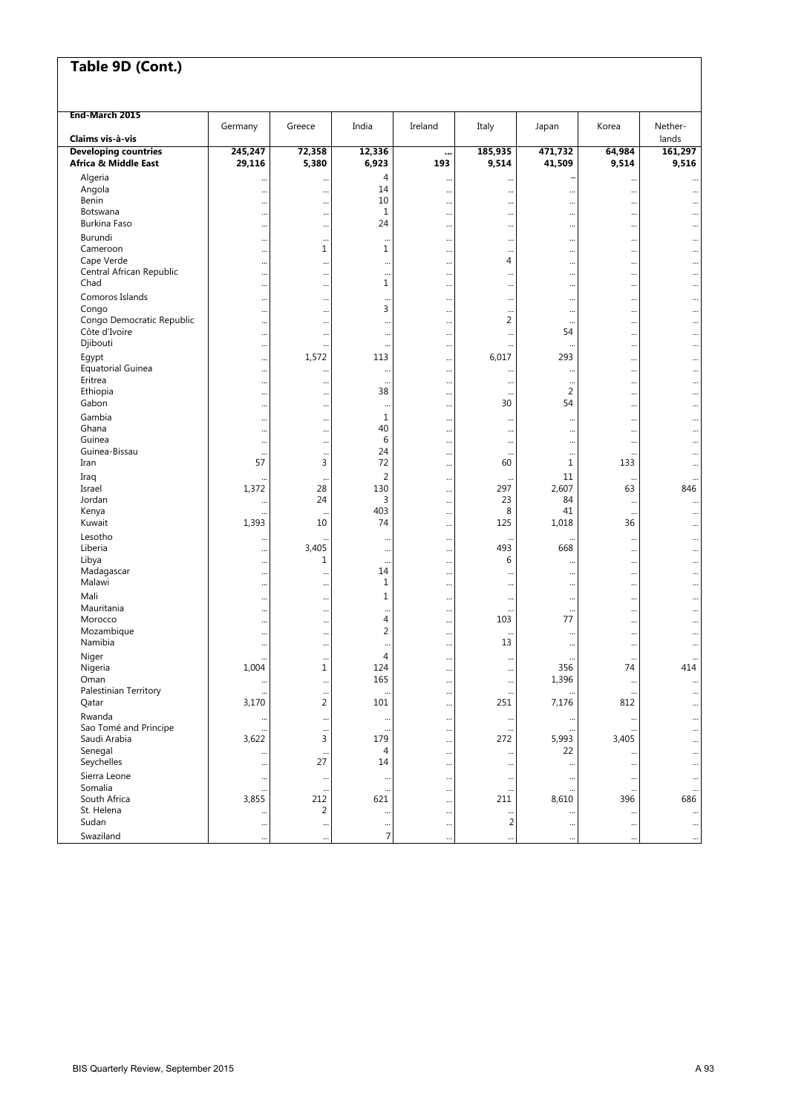| End-March 2015                         |         |                                   |                |          |                 |                          |                      |                        |
|----------------------------------------|---------|-----------------------------------|----------------|----------|-----------------|--------------------------|----------------------|------------------------|
| Claims vis à-vis                       | Germany | Greece                            | India          | Ireland  | Italy           | Japan                    | Korea                | Nether-                |
| <b>Developing countries</b>            | 245,247 | 72,358                            | 12,336         |          | 185,935         | 471,732                  | 64,984               | lands<br>161,297       |
| Africa & Middle East                   | 29,116  | 5,380                             | 6,923          | <br>193  | 9,514           | 41,509                   | 9,514                | 9,516                  |
| Algeria                                |         | $\ddotsc$                         | 4              |          |                 |                          |                      |                        |
| Angola                                 |         | $\ddotsc$                         | 14             |          |                 |                          | $\cdots$<br>$\cdots$ |                        |
| Benin                                  |         | $\ddotsc$                         | 10             |          |                 |                          | $\cdots$             | $\ddotsc$              |
| Botswana                               |         | $\ddotsc$                         | $1\,$          |          |                 |                          |                      |                        |
| Burkina Faso                           |         | $\ddotsc$                         | 24             |          |                 |                          | $\cdots$             |                        |
| Burundi                                |         | $\ddotsc$                         |                |          |                 |                          | $\cdots$             | $\ddotsc$              |
| Cameroon                               |         | 1                                 | 1              |          |                 |                          | $\cdots$             |                        |
| Cape Verde<br>Central African Republic |         | $\ddotsc$                         |                |          | 4               |                          | $\cdots$             | $\ddotsc$              |
| Chad                                   |         | $\ddotsc$<br>$\ddotsc$            | <br>1          |          |                 | <br>                     |                      | <br>                   |
| Comoros Islands                        |         |                                   |                |          |                 |                          |                      |                        |
| Congo                                  | <br>    | $\ddot{\phantom{0}}$<br>$\ddotsc$ | $\cdots$<br>3  | <br>     | <br>            | $\cdots$<br>$\cdots$     | $\cdots$<br>         | $\ddotsc$<br>          |
| Congo Democratic Republic              |         | $\ddotsc$                         |                |          | 2               | $\ddots$                 | $\cdots$             | $\ddotsc$              |
| Côte d'Ivoire                          |         | $\ddotsc$                         |                |          |                 | 54                       | $\cdots$             |                        |
| Djibouti                               |         | $\ddot{\phantom{0}}$              |                |          |                 |                          | $\cdots$             | $\ddotsc$              |
| Egypt                                  |         | 1,572                             | 113            |          | 6,017           | 293                      | $\cdots$             | $\ddotsc$              |
| <b>Equatorial Guinea</b>               |         | $\ddotsc$                         |                |          |                 | $\cdots$                 |                      | $\ddotsc$              |
| Eritrea                                |         | $\ddotsc$                         |                |          |                 |                          |                      | $\ddotsc$              |
| Ethiopia                               |         | $\ddotsc$                         | 38             |          | $\ddotsc$       | $\overline{2}$           | $\cdots$             | $\ddotsc$              |
| Gabon                                  |         | $\ddotsc$                         | $\ddotsc$      |          | 30              | 54                       | $\cdots$             |                        |
| Gambia                                 |         | $\ddotsc$                         | 1              |          | $\cdots$        |                          | $\cdots$             | $\ddotsc$              |
| Ghana<br>Guinea                        |         | $\ddotsc$                         | 40<br>6        |          |                 |                          | $\cdots$             |                        |
| Guinea-Bissau                          |         | $\ddotsc$                         | 24             |          |                 | $\cdots$                 | $\cdots$             | $\ddotsc$              |
| Iran                                   | <br>57  | $\ddotsc$<br>3                    | 72             | <br>     | <br>60          | $\cdots$<br>$\mathbf{1}$ | $\cdots$<br>133      | <br>$\ddotsc$          |
| Iraq                                   |         |                                   | 2              |          |                 | 11                       |                      |                        |
| Israel                                 | 1,372   | <br>28                            | 130            | <br>     | 297             | 2,607                    | $\ddotsc$<br>63      | $\ddotsc$<br>846       |
| Jordan                                 |         | 24                                | 3              |          | 23              | 84                       | $\cdots$             | $\ddotsc$              |
| Kenya                                  |         |                                   | 403            |          | 8               | 41                       | $\cdots$             |                        |
| Kuwait                                 | 1,393   | 10                                | 74             |          | 125             | 1,018                    | 36                   |                        |
| Lesotho                                |         |                                   |                |          | $\ddotsc$       |                          | $\cdots$             |                        |
| Liberia                                |         | 3,405                             |                |          | 493             | 668                      | $\cdots$             |                        |
| Libya                                  |         | 1                                 |                |          | 6               |                          | $\cdots$             | $\ddotsc$              |
| Madagascar                             |         | $\ddotsc$                         | 14             |          |                 | $\cdots$                 |                      |                        |
| Malawi                                 |         | $\ddotsc$                         | 1              |          |                 |                          | $\cdots$             | $\ddotsc$              |
| Mali                                   |         | $\ddotsc$                         | $\mathbf 1$    |          |                 | $\cdots$                 | $\cdots$             |                        |
| Mauritania<br>Morocco                  |         | $\ddot{\phantom{0}}$              | <br>4          |          | <br>103         | $\cdots$<br>77           |                      |                        |
| Mozambique                             |         | $\ddotsc$                         | $\overline{2}$ |          |                 |                          | $\cdots$             |                        |
| Namibia                                | <br>    | $\ddotsc$<br>$\ddotsc$            |                | <br>     | $\ddotsc$<br>13 | <br>$\cdots$             | $\cdots$<br>$\cdots$ | $\ddotsc$<br>$\ddotsc$ |
| Niger                                  |         | $\ddotsc$                         | 4              |          | $\ddotsc$       |                          | $\ddotsc$            | $\ddotsc$              |
| Nigeria                                | 1,004   | 1                                 | 124            |          |                 | 356                      | 74                   | 414                    |
| Oman                                   |         | $\ddotsc$                         | 165            | $\cdots$ | $\cdots$        | 1,396                    | $\cdots$             | $\ddotsc$              |
| Palestinian Territory                  |         |                                   |                |          |                 |                          |                      |                        |
| Qatar                                  | 3,170   | $\overline{2}$                    | 101            |          | 251             | 7,176                    | 812                  | $\ddotsc$              |
| Rwanda                                 |         | $\ddotsc$                         |                |          |                 |                          | $\ddotsc$            |                        |
| Sao Tomé and Principe                  |         | $\ddotsc$                         | $\ddotsc$      |          | $\ddotsc$       |                          |                      |                        |
| Saudi Arabia                           | 3,622   | 3                                 | 179            |          | 272             | 5,993                    | 3,405                |                        |
| Senegal                                |         | $\ddotsc$<br>27                   | 4<br>14        | $\cdots$ |                 | 22                       | $\ddotsc$            |                        |
| Seychelles                             |         |                                   |                |          | $\ddotsc$       |                          | $\cdots$             |                        |
| Sierra Leone<br>Somalia                |         | $\cdot$                           | $\cdots$       | $\cdots$ | $\ddotsc$       | $\ddots$                 | $\ddotsc$            | $\ddotsc$              |
| South Africa                           | 3,855   | 212                               | <br>621        |          | <br>211         | 8,610                    | $\ddotsc$<br>396     | $\ddotsc$<br>686       |
| St. Helena                             |         | 2                                 |                | <br>     |                 |                          | $\ddotsc$            |                        |
| Sudan                                  |         | $\ddotsc$                         | $\cdots$       | $\cdots$ | $\overline{2}$  |                          | $\cdots$             | $\cdots$               |
| Swaziland                              |         | $\ddotsc$                         | $\overline{7}$ |          |                 |                          | $\ddotsc$            | $\ddotsc$              |
|                                        |         |                                   |                |          |                 |                          |                      |                        |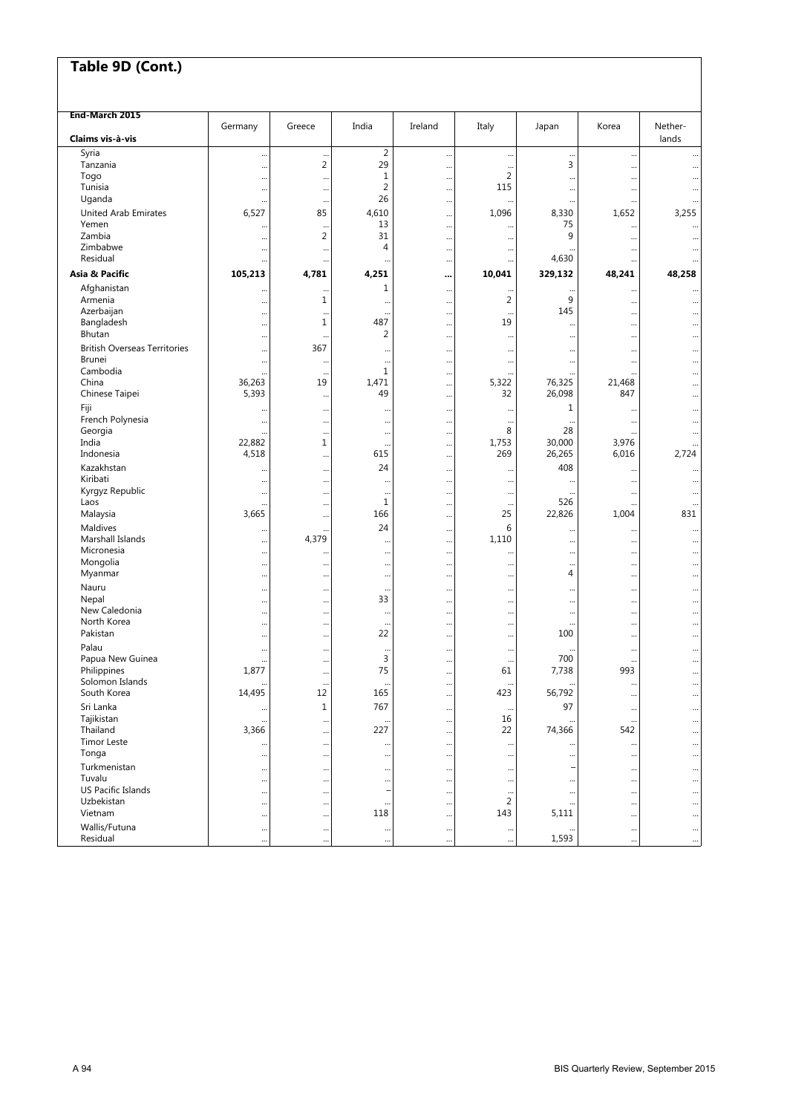| End-March 2015                                       |               |                |                        |                        |                       |                     |                  |                        |
|------------------------------------------------------|---------------|----------------|------------------------|------------------------|-----------------------|---------------------|------------------|------------------------|
| Claims vis-à-vis                                     | Germany       | Greece         | India                  | Ireland                | Italy                 | Japan               | Korea            | Nether-<br>lands       |
| Syria                                                | $\ddots$      |                | $\overline{2}$         |                        | $\ddotsc$             |                     |                  |                        |
| Tanzania                                             | $\ddotsc$     | $\overline{2}$ | 29                     |                        |                       | 3                   |                  |                        |
| Togo                                                 | $\ddotsc$     |                | 1                      |                        | 2                     | $\ddotsc$           |                  |                        |
| Tunisia                                              | $\ddotsc$     |                | $\overline{2}$         | $\ddotsc$              | 115                   |                     |                  | $\ddotsc$              |
| Uganda                                               |               |                | 26                     | $\ddotsc$              |                       |                     |                  | $\ddotsc$              |
| <b>United Arab Emirates</b>                          | 6,527         | 85             | 4,610                  |                        | 1,096                 | 8,330               | 1,652            | 3,255                  |
| Yemen<br>Zambia                                      |               |                | 13                     |                        |                       | 75                  |                  |                        |
| Zimbabwe                                             |               | $\overline{2}$ | 31<br>4                |                        |                       | 9                   |                  |                        |
| Residual                                             | $\ddotsc$     |                |                        | $\ddotsc$              |                       | 4,630               |                  |                        |
|                                                      | $\ddotsc$     |                | $\cdots$               | $\ddotsc$              | $\cdots$              |                     |                  | $\bullet\bullet$       |
| Asia & Pacific                                       | 105,213       | 4,781          | 4,251                  |                        | 10,041                | 329,132             | 48,241           | 48,258                 |
| Afghanistan                                          | $\ddotsc$     |                | 1                      | $\ddotsc$              | $\ddotsc$             | $\ddotsc$           |                  | $\ddotsc$              |
| Armenia                                              | $\ddotsc$     | 1              | $\ddotsc$              |                        | 2                     | 9                   |                  |                        |
| Azerbaijan                                           |               |                | $\ddotsc$<br>487       |                        | $\ddotsc$<br>19       | 145                 |                  |                        |
| Bangladesh<br>Bhutan                                 |               | 1              | 2                      | $\ddotsc$              |                       | $\ddotsc$           |                  | $\ddotsc$              |
|                                                      |               |                |                        | $\ddotsc$              | $\cdots$              |                     |                  | $\ddotsc$              |
| <b>British Overseas Territories</b><br><b>Brunei</b> | $\ddotsc$     | 367            |                        | $\ddotsc$              | $\cdots$              |                     |                  | $\ddotsc$              |
| Cambodia                                             | $\ddotsc$     |                | $\ddotsc$<br>1         |                        |                       |                     |                  | $\ddotsc$              |
| China                                                | 36,263        | 19             | 1,471                  | <br>                   | 5,322                 | 76,325              | <br>21,468       |                        |
| Chinese Taipei                                       | 5,393         |                | 49                     | $\ddotsc$              | 32                    | 26,098              | 847              | $\ddotsc$              |
| Fiji                                                 |               |                |                        |                        |                       | 1                   |                  |                        |
| French Polynesia                                     | $\ddotsc$     | <br>           | $\ddotsc$<br>$\ddotsc$ | $\ddotsc$<br>$\ddotsc$ | $\cdots$<br>$\ddotsc$ |                     | <br>             | $\ddotsc$<br>$\ddotsc$ |
| Georgia                                              |               |                |                        |                        | 8                     | 28                  |                  |                        |
| India                                                | 22,882        | $\mathbf{1}$   | $\ddotsc$              |                        | 1,753                 | 30,000              | 3,976            |                        |
| Indonesia                                            | 4,518         |                | 615                    |                        | 269                   | 26,265              | 6,016            | 2,724                  |
| Kazakhstan                                           |               |                | 24                     |                        |                       | 408                 |                  |                        |
| Kiribati                                             | $\ddotsc$     |                | $\ddotsc$              | $\ddotsc$              |                       | $\ddotsc$           |                  |                        |
| Kyrgyz Republic                                      | $\ddotsc$     |                | $\ddotsc$              | $\ddotsc$              | $\cdots$              |                     |                  | $\ddotsc$              |
| Laos                                                 |               |                | 1                      |                        |                       | 526                 |                  |                        |
| Malaysia                                             | 3,665         |                | 166                    | $\ddotsc$              | 25                    | 22,826              | 1,004            | 831                    |
| Maldives                                             | $\cdots$      |                | 24                     |                        | 6                     |                     |                  | $\ddotsc$              |
| Marshall Islands                                     | $\ddotsc$     | 4,379          |                        |                        | 1,110                 |                     |                  |                        |
| Micronesia                                           | $\ddotsc$     |                | $\ddotsc$              | $\ddotsc$              |                       |                     |                  | $\ddotsc$              |
| Mongolia                                             | $\ddotsc$     |                | $\ddotsc$              | $\ddotsc$              |                       |                     |                  | $\ddotsc$              |
| Myanmar                                              | $\ddotsc$     |                |                        |                        |                       | 4                   |                  | $\ddotsc$              |
| Nauru                                                |               |                |                        |                        |                       | $\cdots$            |                  | $\ddotsc$              |
| Nepal                                                |               |                | 33                     |                        |                       |                     |                  | $\ddotsc$              |
| New Caledonia                                        | $\ddots$      |                | $\cdots$               |                        |                       |                     |                  | $\ddotsc$              |
| North Korea                                          | $\ddotsc$     |                | $\ddotsc$              |                        |                       | $\ddotsc$           |                  | $\ddotsc$              |
| Pakistan                                             | $\ddotsc$     |                | 22                     | $\ddotsc$              |                       | 100                 |                  | $\ddotsc$              |
| Palau                                                | $\ddotsc$     |                | $\ddotsc$              | $\ddotsc$              | $\cdots$              |                     | $\ddots$         | $\ddotsc$              |
| Papua New Guinea                                     | $\ddotsc$     |                | 3<br>75                | $\cdot$                | $\ddotsc$             | 700                 | <br>993          | $\ddotsc$              |
| Philippines<br>Solomon Islands                       | 1,877         |                |                        |                        | 61                    | 7,738               |                  | $\ddotsc$              |
| South Korea                                          | <br>14,495    | <br>12         | $\ddotsc$<br>165       | $\ddotsc$              | <br>423               | $\ddotsc$<br>56,792 | $\cdots$         | $\ddotsc$              |
|                                                      |               |                |                        | $\ddot{\phantom{0}}$   |                       |                     | $\cdots$         |                        |
| Sri Lanka<br>Tajikistan                              | $\cdots$      | $1\,$          | 767                    | $\cdots$               | $\ddotsc$<br>16       | 97                  | $\cdots$         | $\cdots$               |
| Thailand                                             | <br>3,366     |                | $\ddotsc$<br>227       |                        | 22                    | 74,366              | $\ddotsc$<br>542 | $\cdots$               |
| <b>Timor Leste</b>                                   |               | <br>           |                        | <br>                   |                       |                     |                  | $\cdots$<br>$\ddotsc$  |
| Tonga                                                |               |                | $\cdots$<br>           |                        |                       |                     |                  | $\ddotsc$              |
| Turkmenistan                                         |               |                |                        |                        |                       |                     |                  |                        |
| Tuvalu                                               | $\ddotsc$<br> | <br>           | <br>                   | <br>                   | $\ddotsc$<br>$\cdots$ |                     |                  | $\cdots$<br>           |
| US Pacific Islands                                   |               |                | L,                     |                        | $\cdots$              |                     | <br>             | $\cdots$               |
| Uzbekistan                                           |               |                |                        |                        | 2                     | $\ddots$            |                  | $\cdots$               |
| Vietnam                                              |               |                | 118                    |                        | 143                   | 5,111               |                  | $\cdots$               |
| Wallis/Futuna                                        |               |                | $\cdots$               |                        |                       |                     |                  | $\cdots$               |
| Residual                                             |               |                |                        |                        | $\ddotsc$             | 1,593               |                  |                        |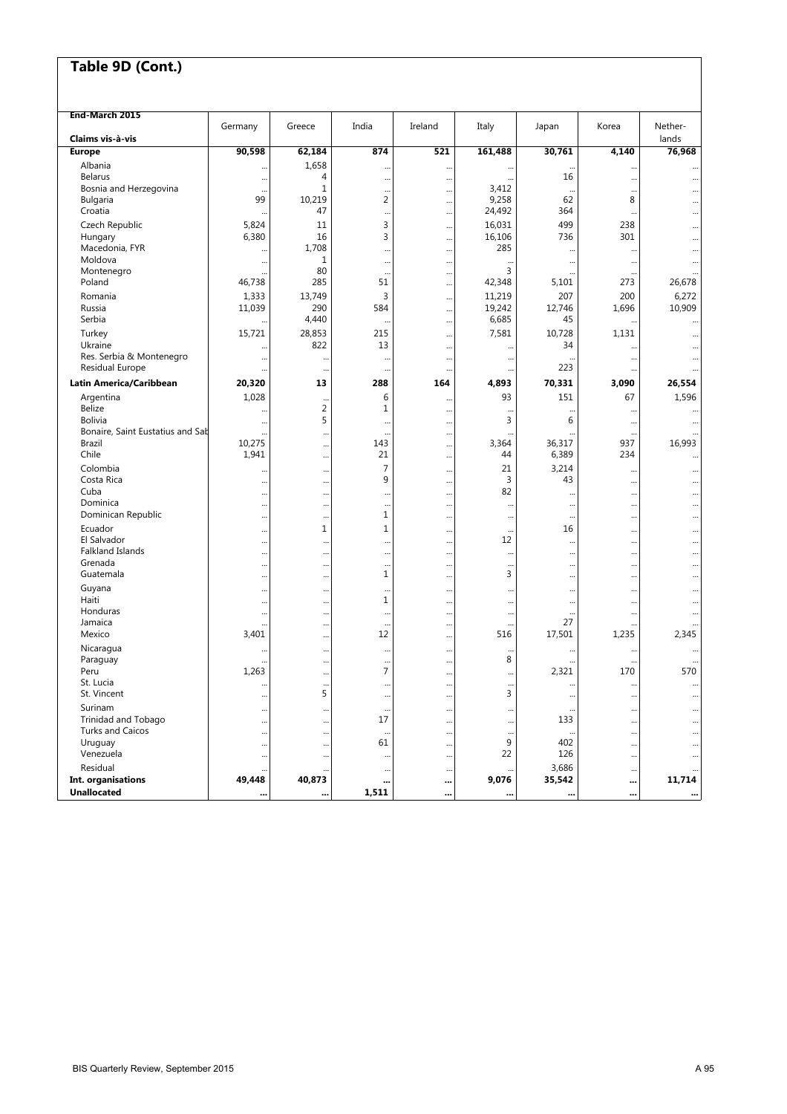| End-March 2015                      |           |                     |                       |           |                       |                  |                          |                 |
|-------------------------------------|-----------|---------------------|-----------------------|-----------|-----------------------|------------------|--------------------------|-----------------|
|                                     | Germany   | Greece              | India                 | Ireland   | Italy                 | Japan            | Korea                    | Nether-         |
| Claims vis-à-vis<br><b>Europe</b>   | 90,598    | 62,184              | 874                   | 521       | 161,488               | 30,761           | 4,140                    | lands<br>76,968 |
| Albania                             |           | 1,658               |                       |           |                       |                  |                          |                 |
| <b>Belarus</b>                      |           | 4                   |                       |           |                       | 16               |                          |                 |
| Bosnia and Herzegovina              | $\ddotsc$ | $\mathbf 1$         | <br>                  | <br>      | 3,412                 | $\ddotsc$        | <br>                     |                 |
| <b>Bulgaria</b>                     | 99        | 10,219              | $\overline{2}$        |           | 9,258                 | 62               | 8                        |                 |
| Croatia                             |           | 47                  |                       |           | 24,492                | 364              |                          |                 |
| Czech Republic                      | 5,824     | 11                  | 3                     |           | 16,031                | 499              | 238                      |                 |
| Hungary                             | 6,380     | 16                  | 3                     |           | 16,106                | 736              | 301                      |                 |
| Macedonia, FYR                      |           | 1,708               |                       |           | 285                   | $\ddotsc$        |                          |                 |
| Moldova                             | $\ddotsc$ | 1                   |                       |           | $\ddot{\phantom{0}}$  | $\ddotsc$        | $\ddotsc$                |                 |
| Montenegro                          |           | 80                  |                       |           | 3                     |                  |                          |                 |
| Poland                              | 46,738    | 285                 | 51                    | $\ddotsc$ | 42,348                | 5,101            | 273                      | 26,678          |
| Romania                             | 1,333     | 13,749              | 3                     |           | 11,219                | 207              | 200                      | 6,272           |
| Russia                              | 11,039    | 290                 | 584                   |           | 19,242                | 12,746           | 1,696                    | 10,909          |
| Serbia                              |           | 4,440               |                       |           | 6,685                 | 45               | $\ddot{\phantom{0}}$     |                 |
| Turkey                              | 15,721    | 28,853              | 215                   |           | 7,581                 | 10,728           | 1,131                    |                 |
| Ukraine<br>Res. Serbia & Montenegro | $\ddotsc$ | 822                 | 13                    |           |                       | 34               |                          | $\cdots$        |
| Residual Europe                     | $\ddotsc$ |                     |                       |           | $\cdots$              | $\ddotsc$<br>223 |                          | $\cdots$        |
|                                     |           |                     |                       |           |                       |                  |                          |                 |
| Latin America/Caribbean             | 20,320    | 13                  | 288                   | 164       | 4,893                 | 70,331           | 3.090                    | 26,554          |
| Argentina                           | 1,028     | $\ddotsc$           | 6                     |           | 93                    | 151              | 67                       | 1,596           |
| <b>Belize</b><br><b>Bolivia</b>     |           | $\overline{2}$<br>5 | 1                     |           | $\ddotsc$             | $\ddotsc$<br>6   | $\ddotsc$                |                 |
| Bonaire, Saint Eustatius and Sab    | $\ddotsc$ |                     | $\ddotsc$             |           | 3                     |                  | $\cdots$                 |                 |
| Brazil                              | 10,275    | <br>                | <br>143               | <br>      | <br>3,364             | 36,317           | $\cdots$<br>937          | 16,993          |
| Chile                               | 1,941     |                     | 21                    |           | 44                    | 6,389            | 234                      |                 |
| Colombia                            |           |                     | 7                     |           | 21                    | 3,214            |                          |                 |
| Costa Rica                          | $\ddotsc$ | <br>                | 9                     |           | 3                     | 43               | <br>$\ddot{\phantom{0}}$ |                 |
| Cuba                                | $\ddotsc$ |                     |                       |           | 82                    | $\ddotsc$        |                          |                 |
| Dominica                            | $\cdots$  |                     |                       |           |                       |                  |                          |                 |
| Dominican Republic                  |           |                     | 1                     |           |                       | $\ddotsc$        |                          |                 |
| Ecuador                             |           | $\mathbf 1$         | 1                     |           | $\ddots$              | 16               |                          |                 |
| El Salvador                         | $\ddotsc$ |                     | $\ddots$              |           | 12                    | $\ddotsc$        |                          |                 |
| Falkland Islands                    | $\cdots$  |                     |                       |           | $\ddotsc$             | $\ddotsc$        |                          |                 |
| Grenada                             | $\ddotsc$ |                     |                       |           | $\cdots$              |                  |                          |                 |
| Guatemala                           | $\ddotsc$ |                     | 1                     |           | 3                     |                  |                          |                 |
| Guyana                              | $\ddotsc$ |                     |                       |           |                       |                  |                          |                 |
| Haiti<br>Honduras                   | $\ddotsc$ |                     | 1                     | $\ddotsc$ |                       |                  |                          |                 |
| Jamaica                             | $\ddotsc$ |                     | $\ddots$<br>$\ddotsc$ | <br>      | $\cdots$<br>$\ddotsc$ | $\ddotsc$<br>27  |                          |                 |
| Mexico                              | 3,401     | <br>                | 12                    |           | 516                   | 17,501           | <br>1,235                | 2,345           |
| Nicaragua                           |           |                     |                       |           |                       |                  |                          |                 |
| Paraguay                            | $\ddotsc$ | <br>                | $\ddots$<br>          | <br>      | $\ddotsc$<br>8        | $\ddotsc$        | $\ddotsc$                |                 |
| Peru                                | 1,263     |                     | 7                     |           |                       | 2,321            | 170                      | 570             |
| St. Lucia                           | $\ddotsc$ |                     | $\cdots$              |           | $\cdots$              | $\ddotsc$        | $\ddots$                 | $\cdots$        |
| St. Vincent                         | $\ddotsc$ | 5                   |                       |           | 3                     | $\cdots$         |                          |                 |
| Surinam                             | $\ddotsc$ |                     | $\ddots$              |           |                       |                  |                          | $\cdots$        |
| Trinidad and Tobago                 |           |                     | 17                    |           |                       | 133              |                          |                 |
| <b>Turks and Caicos</b>             |           |                     |                       |           | $\ddotsc$             |                  |                          |                 |
| Uruguay                             |           | $\cdots$            | 61                    |           | 9                     | 402              | $\ddots$                 |                 |
| Venezuela                           |           |                     | $\ddotsc$             |           | 22                    | 126              |                          |                 |
| Residual                            |           |                     | $\cdots$              |           |                       | 3,686            |                          |                 |
| Int. organisations                  | 49,448    | 40,873              |                       | $\cdots$  | 9,076                 | 35,542           |                          | 11,714          |
| <b>Unallocated</b>                  |           |                     | 1,511                 |           |                       |                  |                          |                 |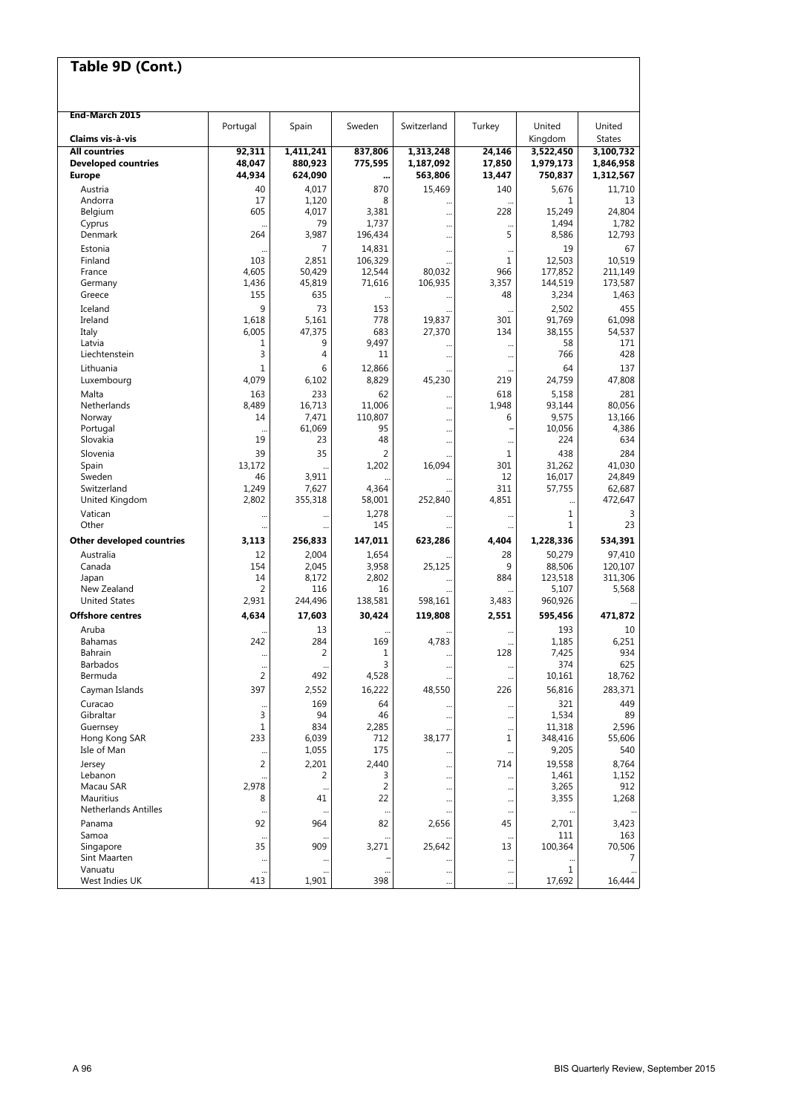| End-March 2015                           |                      |                    |                |             |               |                   |                         |
|------------------------------------------|----------------------|--------------------|----------------|-------------|---------------|-------------------|-------------------------|
| Claims vis à-vis                         | Portugal             | Spain              | Sweden         | Switzerland | Turkey        | United<br>Kingdom | United<br><b>States</b> |
| <b>All countries</b>                     |                      |                    |                |             |               |                   |                         |
|                                          | 92,311               | 1,411,241          | 837,806        | 1,313,248   | 24,146        | 3,522,450         | 3,100,732               |
| <b>Developed countries</b>               | 48,047               | 880,923            | 775,595        | 1,187,092   | 17,850        | 1,979,173         | 1,846,958               |
| <b>Europe</b>                            | 44,934               | 624,090            |                | 563,806     | 13,447        | 750,837           | 1,312,567               |
| Austria                                  | 40                   | 4,017              | 870            | 15,469      | 140           | 5,676             | 11,710                  |
| Andorra                                  | 17                   | 1,120              | 8              |             |               | 1                 | 13                      |
| Belgium                                  | 605                  | 4,017              | 3,381          |             | 228           | 15,249            | 24,804                  |
| Cyprus                                   | $\ddot{\phantom{a}}$ | 79                 | 1,737          |             | $\ddotsc$     | 1,494             | 1,782                   |
| Denmark                                  | 264                  | 3,987              | 196,434        |             | 5             | 8,586             | 12,793                  |
| Estonia                                  |                      | 7                  | 14.831         |             | $\ddotsc$     | 19                | 67                      |
| Finland                                  | 103                  | 2,851              | 106,329        |             | 1             | 12,503            | 10.519                  |
| France                                   | 4,605                | 50,429             | 12,544         | 80,032      | 966           | 177,852           | 211,149                 |
| Germany                                  | 1,436                | 45,819             | 71,616         | 106,935     | 3,357         | 144,519           | 173,587                 |
| Greece                                   | 155                  | 635                |                |             | 48            | 3,234             | 1,463                   |
| Iceland                                  | 9                    | 73                 | 153            |             | $\ddotsc$     | 2,502             | 455                     |
| Ireland                                  | 1,618                | 5,161              | 778            | 19,837      | 301           | 91,769            | 61,098                  |
| Italy                                    | 6,005                | 47,375             | 683            | 27,370      | 134           | 38,155            | 54,537                  |
| Latvia                                   | 1                    | 9                  | 9,497          |             | $\cdots$      | 58                | 171                     |
| Liechtenstein                            | 3                    | 4                  | 11             |             | $\cdots$      | 766               | 428                     |
| Lithuania                                | $\mathbf{1}$         | 6                  | 12,866         |             |               | 64                | 137                     |
| Luxembourg                               | 4,079                | 6,102              | 8,829          | 45,230      | 219           | 24,759            | 47,808                  |
| Malta                                    | 163                  | 233                | 62             |             | 618           | 5,158             | 281                     |
| Netherlands                              | 8,489                | 16,713             | 11,006         |             | 1,948         | 93,144            | 80,056                  |
| Norway                                   | 14                   | 7,471              | 110,807        |             | 6             | 9,575             | 13,166                  |
| Portugal                                 |                      | 61,069             | 95             |             |               | 10,056            | 4,386                   |
| Slovakia                                 | 19                   | 23                 | 48             | <br>        | $\ddotsc$     | 224               | 634                     |
| Slovenia                                 | 39                   | 35                 | $\overline{2}$ |             | 1             | 438               | 284                     |
| Spain                                    | 13,172               |                    | 1,202          | 16,094      | 301           | 31,262            | 41,030                  |
| Sweden                                   | 46                   | $\ddotsc$<br>3,911 |                |             | 12            | 16,017            | 24,849                  |
| Switzerland                              | 1,249                | 7,627              | 4,364          |             | 311           | 57,755            | 62,687                  |
| United Kingdom                           | 2,802                | 355,318            | 58,001         | 252,840     | 4,851         |                   | 472,647                 |
|                                          |                      |                    |                |             |               |                   |                         |
| Vatican                                  | $\cdots$             |                    | 1,278          |             | $\cdots$      | 1<br>$\mathbf{1}$ | 3                       |
| Other                                    |                      |                    | 145            |             |               |                   | 23                      |
| Other developed countries                | 3,113                | 256,833            | 147,011        | 623,286     | 4,404         | 1,228,336         | 534,391                 |
| Australia                                | 12                   | 2,004              | 1,654          |             | 28            | 50,279            | 97,410                  |
| Canada                                   | 154                  | 2,045              | 3,958          | 25,125      | 9             | 88,506            | 120,107                 |
| Japan                                    | 14                   | 8,172              | 2,802          |             | 884           | 123,518           | 311,306                 |
| New Zealand                              | 2                    | 116                | 16             |             |               | 5,107             | 5,568                   |
| <b>United States</b>                     | 2,931                | 244,496            | 138,581        | 598,161     | 3,483         | 960,926           |                         |
| <b>Offshore centres</b>                  | 4,634                | 17,603             | 30,424         | 119.808     | 2,551         | 595,456           | 471,872                 |
| Aruba                                    |                      | 13                 |                |             | $\ddotsc$     | 193               | 10                      |
| Bahamas                                  | 242                  | 284                | 169            | 4,783       | $\ddotsc$     | 1,185             | 6,251                   |
| <b>Bahrain</b>                           | $\ddots$             | 2                  | 1              |             | 128           | 7,425             | 934                     |
| Barbados                                 |                      |                    | 3              |             |               | 374               | 625                     |
| Bermuda                                  | 2                    | 492                | 4,528          |             |               | 10,161            | 18,762                  |
| Cayman Islands                           | 397                  | 2,552              | 16,222         | 48,550      | 226           | 56,816            | 283,371                 |
| Curacao                                  |                      | 169                | 64             |             |               | 321               | 449                     |
| Gibraltar                                | $\cdots$<br>3        | 94                 | 46             | $\cdots$    | $\cdots$      | 1,534             | 89                      |
| Guernsey                                 | 1                    | 834                | 2,285          | $\cdots$    | $\cdots$      | 11,318            | 2,596                   |
| Hong Kong SAR                            | 233                  | 6,039              | 712            | 38,177      | $\cdots$<br>1 | 348,416           | 55,606                  |
| Isle of Man                              |                      | 1,055              | 175            |             |               | 9,205             | 540                     |
|                                          | $\ddotsc$            |                    |                |             | $\cdots$      |                   |                         |
| Jersey                                   | 2                    | 2,201              | 2,440          |             | 714           | 19,558            | 8,764                   |
| Lebanon                                  |                      | 2                  | 3              |             |               | 1,461             | 1,152                   |
| Macau SAR                                | 2,978                |                    | 2              | $\cdots$    | $\cdots$      | 3,265             | 912                     |
| Mauritius<br><b>Netherlands Antilles</b> | 8                    | 41                 | 22             | $\ddotsc$   | $\cdots$      | 3,355             | 1,268                   |
|                                          |                      |                    |                |             | $\cdots$      |                   |                         |
| Panama                                   | 92                   | 964                | 82             | 2,656       | 45            | 2,701             | 3,423                   |
| Samoa                                    | $\cdots$             | $\cdots$           |                |             | $\cdots$      | 111               | 163                     |
| Singapore                                | 35                   | 909                | 3,271          | 25,642      | 13            | 100,364           | 70,506                  |
| Sint Maarten                             | $\cdots$             |                    |                |             |               |                   | 7                       |
| Vanuatu                                  | $\ddotsc$            |                    |                |             | $\cdots$      | 1                 |                         |
| West Indies UK                           | 413                  | 1,901              | 398            |             |               | 17,692            | 16,444                  |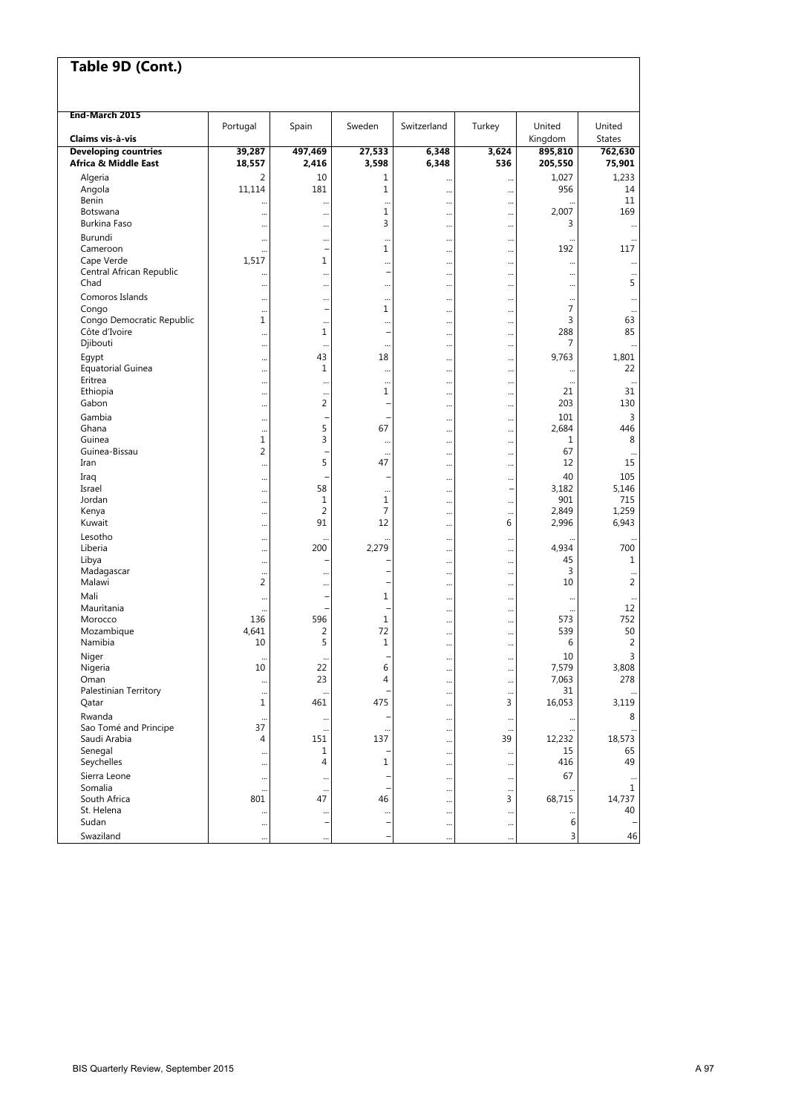| Table 9D (Cont.)                 |                        |                      |                  |                      |                          |                  |                                |
|----------------------------------|------------------------|----------------------|------------------|----------------------|--------------------------|------------------|--------------------------------|
|                                  |                        |                      |                  |                      |                          |                  |                                |
|                                  |                        |                      |                  |                      |                          |                  |                                |
| End-March 2015                   | Portugal               | Spain                | Sweden           | Switzerland          | Turkey                   | United           | United                         |
| Claims vis à-vis                 |                        |                      |                  |                      |                          | Kingdom          | <b>States</b>                  |
| <b>Developing countries</b>      | 39,287                 | 497,469              | 27,533           | 6,348                | 3,624                    | 895,810          | 762,630                        |
| Africa & Middle East             | 18,557                 | 2,416                | 3,598            | 6,348                | 536                      | 205,550          | 75,901                         |
| Algeria<br>Angola                | 2<br>11,114            | 10<br>181            | 1<br>1           | <br>                 | <br>$\ddotsc$            | 1,027<br>956     | 1,233<br>14                    |
| Benin                            |                        |                      | $\cdots$         |                      |                          | $\ddotsc$        | 11                             |
| Botswana                         |                        | $\cdots$             | 1                |                      |                          | 2,007            | 169                            |
| Burkina Faso<br>Burundi          | $\ddotsc$              | $\cdots$             | 3                |                      |                          | 3                |                                |
| Cameroon                         | <br>                   | $\cdots$             | 1                | <br>                 | <br>$\ddotsc$            | 192              | 117                            |
| Cape Verde                       | 1,517                  | 1                    | $\cdots$         |                      |                          | $\ddotsc$        | $\cdots$                       |
| Central African Republic<br>Chad |                        |                      |                  |                      |                          |                  | $\cdots$<br>5                  |
| Comoros Islands                  | <br>                   | <br>                 | $\cdots$<br>     | <br>                 | <br>                     |                  |                                |
| Congo                            | $\ddotsc$              |                      | 1                |                      |                          | $\overline{7}$   | $\cdots$                       |
| Congo Democratic Republic        | 1                      | $\ddotsc$            | $\cdots$         |                      | $\ddotsc$                | 3                | 63                             |
| Côte d'Ivoire<br>Djibouti        | <br>                   | 1<br>                | $\cdots$         | <br>                 | <br>                     | 288<br>7         | 85<br>                         |
| Egypt                            | $\ddotsc$              | 43                   | 18               |                      |                          | 9,763            | 1,801                          |
| <b>Equatorial Guinea</b>         |                        | 1                    |                  |                      |                          |                  | 22                             |
| Eritrea<br>Ethiopia              |                        | $\ddotsc$            | $\ddotsc$<br>1   |                      |                          | $\ddotsc$<br>21  | $\cdots$<br>31                 |
| Gabon                            | <br>$\ddotsc$          | <br>2                |                  | <br>                 | $\ddotsc$<br>            | 203              | 130                            |
| Gambia                           | $\ddotsc$              |                      | -                |                      | $\ddotsc$                | 101              | 3                              |
| Ghana                            | $\ddotsc$              | 5                    | 67               |                      |                          | 2,684            | 446                            |
| Guinea<br>Guinea-Bissau          | $\mathbf{1}$<br>2      | 3                    | $\cdots$         | <br>                 | <br>                     | 1<br>67          | 8<br>$\cdots$                  |
| Iran                             |                        | 5                    | 47               |                      | $\ddotsc$                | 12               | 15                             |
| Iraq                             | $\ddotsc$              |                      |                  |                      |                          | 40               | 105                            |
| Israel<br>Jordan                 | $\ddotsc$              | 58<br>$\mathbf{1}$   | <br>$\mathbf{1}$ |                      | $\overline{\phantom{0}}$ | 3,182<br>901     | 5,146<br>715                   |
| Kenya                            | $\ddotsc$<br>          | 2                    | 7                | <br>                 | <br>$\ddotsc$            | 2,849            | 1,259                          |
| Kuwait                           |                        | 91                   | 12               |                      | 6                        | 2,996            | 6,943                          |
| Lesotho                          |                        | $\ddots$             | $\ddots$         |                      |                          |                  | $\cdots$                       |
| Liberia<br>Libya                 | $\ddotsc$              | 200                  | 2,279            |                      |                          | 4,934<br>45      | 700<br>1                       |
| Madagascar                       | $\ddotsc$<br>$\ddotsc$ |                      |                  | <br>                 | <br>                     | 3                |                                |
| Malawi                           | 2                      | $\ddotsc$            |                  |                      | $\ddotsc$                | 10               | 2                              |
| Mali                             |                        |                      | 1                |                      |                          | $\ddotsc$        |                                |
| Mauritania<br>Morocco            | $\ddotsc$<br>136       | 596                  | 1                | <br>                 | <br>$\ddotsc$            | $\ddotsc$<br>573 | 12<br>752                      |
| Mozambique                       | 4,641                  | 2                    | 72               |                      |                          | 539              | 50                             |
| Namibia                          | 10                     | 5                    | 1                |                      |                          | 6                | 2                              |
| Niger<br>Nigeria                 | $\ddotsc$<br>10        | $\cdots$<br>22       | 6                |                      |                          | 10<br>7,579      | $\mathsf{3}$<br>3,808          |
| Oman                             | $\ddotsc$              | 23                   | 4                | <br>$\cdots$         | <br>$\ddotsc$            | 7,063            | 278                            |
| Palestinian Territory            | $\ddotsc$              |                      |                  |                      | $\ddotsc$                | 31               |                                |
| Qatar                            | $\mathbf{1}$           | 461                  | 475              |                      | 3                        | 16,053           | 3,119                          |
| Rwanda<br>Sao Tomé and Principe  | $\cdots$<br>37         | $\cdots$<br>$\cdots$ | $\cdots$         | <br>                 | $\cdots$<br>             | $\cdots$         | 8                              |
| Saudi Arabia                     | 4                      | 151                  | 137              |                      | 39                       | 12,232           | 18,573                         |
| Senegal                          | $\ddotsc$              | 1                    |                  | $\cdots$             | $\cdots$                 | 15               | 65                             |
| Seychelles<br>Sierra Leone       | $\ddotsc$              | 4                    | 1                |                      |                          | 416<br>67        | 49                             |
| Somalia                          | $\ddotsc$<br>$\cdots$  | $\cdots$<br>$\cdots$ |                  | <br>                 | $\cdots$<br>$\cdots$     |                  | $\cdots$<br>$\mathbf 1$        |
| South Africa                     | 801                    | 47                   | 46               |                      | 3                        | 68,715           | 14,737                         |
| St. Helena<br>Sudan              |                        | <br>-                | $\cdots$<br>۰    |                      |                          | <br>6            | 40<br>$\overline{\phantom{0}}$ |
| Swaziland                        | $\ddotsc$<br>$\cdots$  | $\cdots$             |                  | $\cdots$<br>$\cdots$ | $\ddotsc$<br>$\ddotsc$   | 3                | 46                             |
|                                  |                        |                      |                  |                      |                          |                  |                                |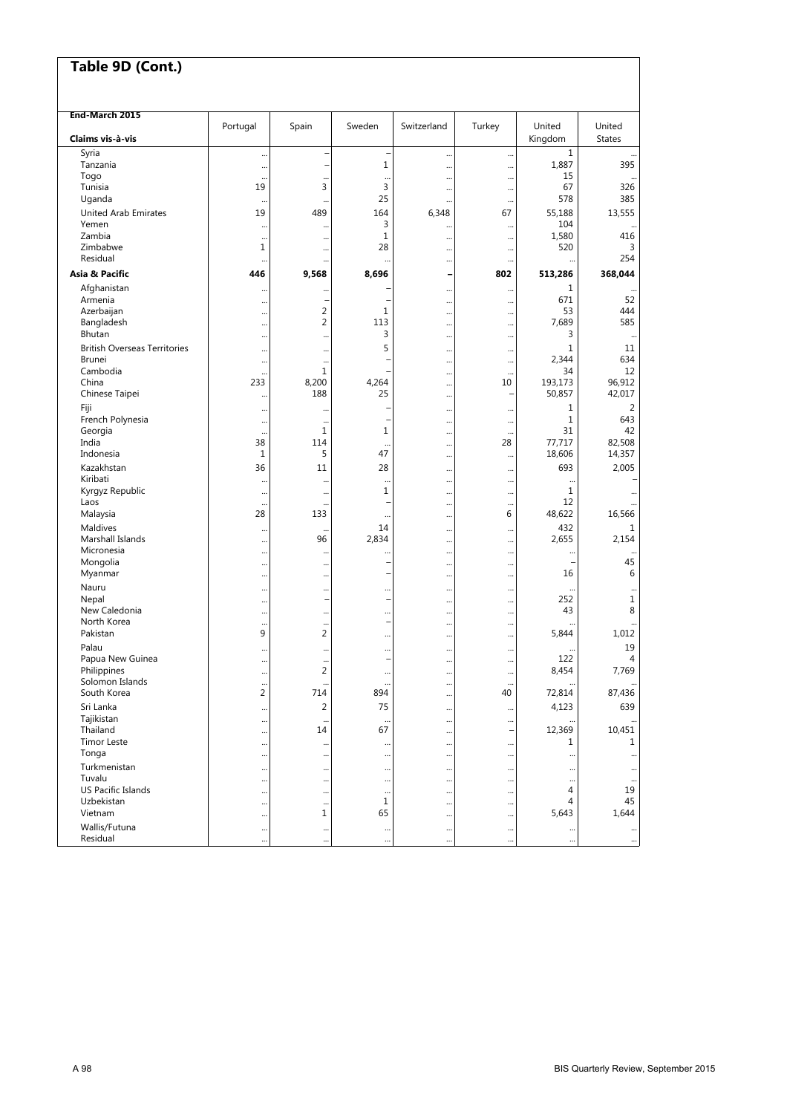| Table 9D (Cont.)                    |                 |                                  |                |             |               |              |                |
|-------------------------------------|-----------------|----------------------------------|----------------|-------------|---------------|--------------|----------------|
|                                     |                 |                                  |                |             |               |              |                |
| End-March 2015                      |                 |                                  |                |             |               |              |                |
|                                     | Portugal        | Spain                            | Sweden         | Switzerland | Turkey        | United       | United         |
| Claims vis à-vis                    |                 |                                  |                |             |               | Kingdom      | <b>States</b>  |
| Syria                               |                 | ÷                                | ÷,             |             |               | $\mathbf{1}$ | 395            |
| Tanzania<br>Togo                    | <br>$\ddotsc$   | $\ddotsc$                        | 1<br>$\ddotsc$ | <br>        | <br>$\ddotsc$ | 1,887<br>15  |                |
| Tunisia                             | 19              | 3                                | 3              |             |               | 67           | 326            |
| Uganda                              | $\ddotsc$       | $\cdots$                         | 25             |             |               | 578          | 385            |
| <b>United Arab Emirates</b>         | 19              | 489                              | 164            | 6,348       | 67            | 55,188       | 13,555         |
| Yemen<br>Zambia                     |                 |                                  | 3<br>1         |             |               | 104<br>1,580 | 416            |
| Zimbabwe                            | $\ddotsc$<br>1  | <br>                             | 28             | <br>        | <br>          | 520          | 3              |
| Residual                            |                 |                                  |                |             |               |              | 254            |
| Asia & Pacific                      | 446             | 9,568                            | 8,696          | -           | 802           | 513,286      | 368,044        |
| Afghanistan                         |                 |                                  |                |             |               | $\mathbf{1}$ |                |
| Armenia                             |                 | -                                |                |             |               | 671          | 52             |
| Azerbaijan<br>Bangladesh            | $\ddots$        | $\overline{2}$<br>$\overline{2}$ | 1<br>113       |             |               | 53<br>7,689  | 444<br>585     |
| Bhutan                              |                 |                                  | 3              |             |               | 3            |                |
| <b>British Overseas Territories</b> |                 |                                  | 5              |             |               | $\mathbf{1}$ | 11             |
| <b>Brunei</b>                       | <br>            | <br>$\cdots$                     |                | <br>        | <br>          | 2,344        | 634            |
| Cambodia                            | $\ddotsc$       | $\mathbf{1}$                     |                |             |               | 34           | 12             |
| China                               | 233             | 8,200                            | 4,264          |             | 10            | 193,173      | 96,912         |
| Chinese Taipei                      | $\ddotsc$       | 188                              | 25             |             |               | 50,857       | 42,017         |
| Fiji                                | $\ddotsc$       |                                  |                |             |               | 1            | $\overline{2}$ |
| French Polynesia                    | $\ddotsc$       |                                  |                |             |               | $\mathbf{1}$ | 643            |
| Georgia<br>India                    | $\ddotsc$<br>38 | $\mathbf{1}$<br>114              | 1              |             | <br>28        | 31<br>77,717 | 42<br>82,508   |
| Indonesia                           | $\mathbf{1}$    | 5                                | <br>47         | <br>        |               | 18,606       | 14,357         |
| Kazakhstan                          | 36              | 11                               | 28             |             |               | 693          | 2,005          |
| Kiribati                            | $\ddotsc$       |                                  |                | <br>        | <br>          |              |                |
| Kyrgyz Republic                     | $\ddotsc$       |                                  | $\mathbf{1}$   |             |               | $\mathbf{1}$ |                |
| Laos                                | $\ddotsc$       |                                  |                |             | $\ddotsc$     | 12           |                |
| Malaysia                            | 28              | 133                              |                |             | 6             | 48,622       | 16,566         |
| Maldives                            |                 | $\ddot{\phantom{0}}$             | 14             |             |               | 432          | 1              |
| Marshall Islands<br>Micronesia      |                 | 96                               | 2,834          |             |               | 2,655        | 2,154          |
| Mongolia                            | <br>            | <br>                             |                | <br>        | <br>          |              | 45             |
| Myanmar                             |                 |                                  |                |             |               | 16           | 6              |
| Nauru                               |                 |                                  |                |             |               |              |                |
| Nepal                               |                 | $\overline{a}$                   | ۰              |             |               | 252          | 1              |
| New Caledonia                       |                 |                                  |                |             |               | 43           | 8              |
| North Korea<br>Pakistan             | $\ddotsc$<br>9  | <br>$\overline{2}$               | -              |             |               | 5,844        | 1.012          |
| Palau                               |                 |                                  |                |             |               |              | 19             |
| Papua New Guinea                    |                 |                                  |                |             |               | 122          | 4              |
| Philippines                         | <br>$\ddotsc$   | $\cdots$<br>$\overline{2}$       | $\cdots$       | <br>        | <br>          | 8,454        | 7,769          |
| Solomon Islands                     |                 |                                  |                |             | $\ddotsc$     |              |                |
| South Korea                         | $\overline{2}$  | 714                              | 894            |             | 40            | 72,814       | 87,436         |
| Sri Lanka                           | $\ddotsc$       | $\overline{2}$                   | 75             |             |               | 4,123        | 639            |
| Tajikistan                          |                 |                                  |                |             |               |              | $\ddotsc$      |
| Thailand<br><b>Timor Leste</b>      |                 | 14                               | 67             |             | -             | 12,369<br>1  | 10,451<br>1    |
| Tonga                               | <br>            | $\cdots$<br>                     | $\cdots$<br>   | <br>        | <br>          | $\ddots$     |                |
| Turkmenistan                        |                 |                                  |                |             |               |              | $\cdots$       |
| Tuvalu                              | $\cdots$<br>    | $\cdots$<br>                     | <br>           | <br>        |               | <br>$\cdots$ | $\cdots$<br>   |
| <b>US Pacific Islands</b>           | $\cdots$        |                                  |                |             |               | 4            | 19             |
| Uzbekistan                          |                 | $\cdots$                         | 1              |             |               | 4            | 45             |
| Vietnam                             | $\cdots$        | 1                                | 65             |             |               | 5,643        | 1,644          |
| Wallis/Futuna                       |                 | $\cdots$                         |                |             |               |              | $\cdots$       |
| Residual                            |                 |                                  |                |             |               |              |                |